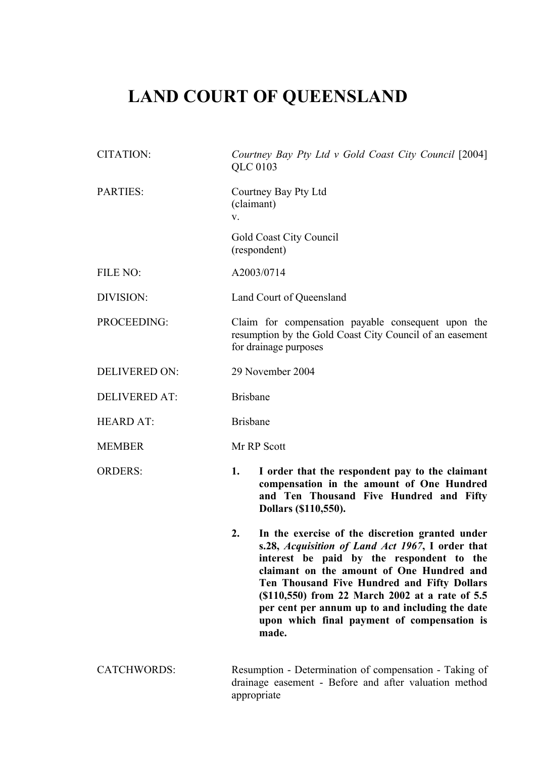# **LAND COURT OF QUEENSLAND**

CITATION: *Courtney Bay Pty Ltd v Gold Coast City Council* [2004] QLC 0103 PARTIES: Courtney Bay Pty Ltd (claimant) v. Gold Coast City Council (respondent) FILE NO:  $A2003/0714$ DIVISION: Land Court of Queensland PROCEEDING: Claim for compensation payable consequent upon the resumption by the Gold Coast City Council of an easement for drainage purposes DELIVERED ON: 29 November 2004 DELIVERED AT: Brisbane HEARD AT: Brisbane MEMBER Mr RP Scott ORDERS: **1. I order that the respondent pay to the claimant compensation in the amount of One Hundred and Ten Thousand Five Hundred and Fifty Dollars (\$110,550). 2. In the exercise of the discretion granted under s.28,** *Acquisition of Land Act 1967***, I order that interest be paid by the respondent to the claimant on the amount of One Hundred and Ten Thousand Five Hundred and Fifty Dollars (\$110,550) from 22 March 2002 at a rate of 5.5 per cent per annum up to and including the date upon which final payment of compensation is made.** CATCHWORDS: Resumption - Determination of compensation - Taking of drainage easement - Before and after valuation method

appropriate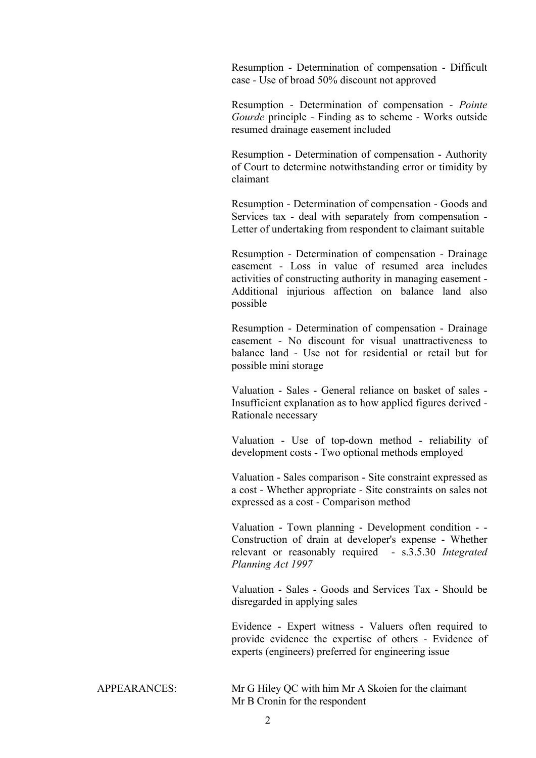Resumption - Determination of compensation - Difficult case - Use of broad 50% discount not approved

Resumption - Determination of compensation - *Pointe Gourde* principle - Finding as to scheme - Works outside resumed drainage easement included

Resumption - Determination of compensation - Authority of Court to determine notwithstanding error or timidity by claimant

Resumption - Determination of compensation - Goods and Services tax - deal with separately from compensation - Letter of undertaking from respondent to claimant suitable

Resumption - Determination of compensation - Drainage easement - Loss in value of resumed area includes activities of constructing authority in managing easement - Additional injurious affection on balance land also possible

Resumption - Determination of compensation - Drainage easement - No discount for visual unattractiveness to balance land - Use not for residential or retail but for possible mini storage

Valuation - Sales - General reliance on basket of sales - Insufficient explanation as to how applied figures derived - Rationale necessary

Valuation - Use of top-down method - reliability of development costs - Two optional methods employed

Valuation - Sales comparison - Site constraint expressed as a cost - Whether appropriate - Site constraints on sales not expressed as a cost - Comparison method

Valuation - Town planning - Development condition - - Construction of drain at developer's expense - Whether relevant or reasonably required - s.3.5.30 *Integrated Planning Act 1997*

Valuation - Sales - Goods and Services Tax - Should be disregarded in applying sales

Evidence - Expert witness - Valuers often required to provide evidence the expertise of others - Evidence of experts (engineers) preferred for engineering issue

APPEARANCES: Mr G Hiley QC with him Mr A Skoien for the claimant Mr B Cronin for the respondent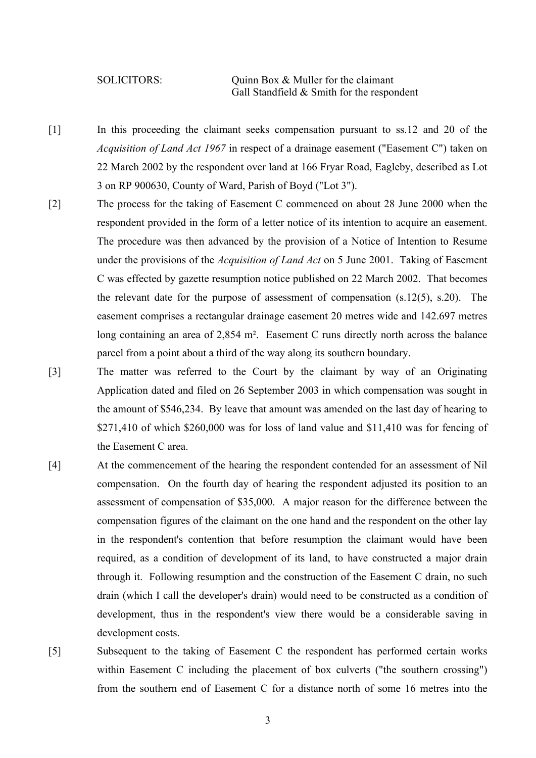SOLICITORS: Quinn Box & Muller for the claimant Gall Standfield & Smith for the respondent

- [1] In this proceeding the claimant seeks compensation pursuant to ss.12 and 20 of the *Acquisition of Land Act 1967* in respect of a drainage easement ("Easement C") taken on 22 March 2002 by the respondent over land at 166 Fryar Road, Eagleby, described as Lot 3 on RP 900630, County of Ward, Parish of Boyd ("Lot 3").
- [2] The process for the taking of Easement C commenced on about 28 June 2000 when the respondent provided in the form of a letter notice of its intention to acquire an easement. The procedure was then advanced by the provision of a Notice of Intention to Resume under the provisions of the *Acquisition of Land Act* on 5 June 2001. Taking of Easement C was effected by gazette resumption notice published on 22 March 2002. That becomes the relevant date for the purpose of assessment of compensation  $(s.12(5), s.20)$ . The easement comprises a rectangular drainage easement 20 metres wide and 142.697 metres long containing an area of 2,854 m<sup>2</sup>. Easement C runs directly north across the balance parcel from a point about a third of the way along its southern boundary.
- [3] The matter was referred to the Court by the claimant by way of an Originating Application dated and filed on 26 September 2003 in which compensation was sought in the amount of \$546,234. By leave that amount was amended on the last day of hearing to \$271,410 of which \$260,000 was for loss of land value and \$11,410 was for fencing of the Easement C area.
- [4] At the commencement of the hearing the respondent contended for an assessment of Nil compensation. On the fourth day of hearing the respondent adjusted its position to an assessment of compensation of \$35,000. A major reason for the difference between the compensation figures of the claimant on the one hand and the respondent on the other lay in the respondent's contention that before resumption the claimant would have been required, as a condition of development of its land, to have constructed a major drain through it. Following resumption and the construction of the Easement C drain, no such drain (which I call the developer's drain) would need to be constructed as a condition of development, thus in the respondent's view there would be a considerable saving in development costs.
- [5] Subsequent to the taking of Easement C the respondent has performed certain works within Easement C including the placement of box culverts ("the southern crossing") from the southern end of Easement C for a distance north of some 16 metres into the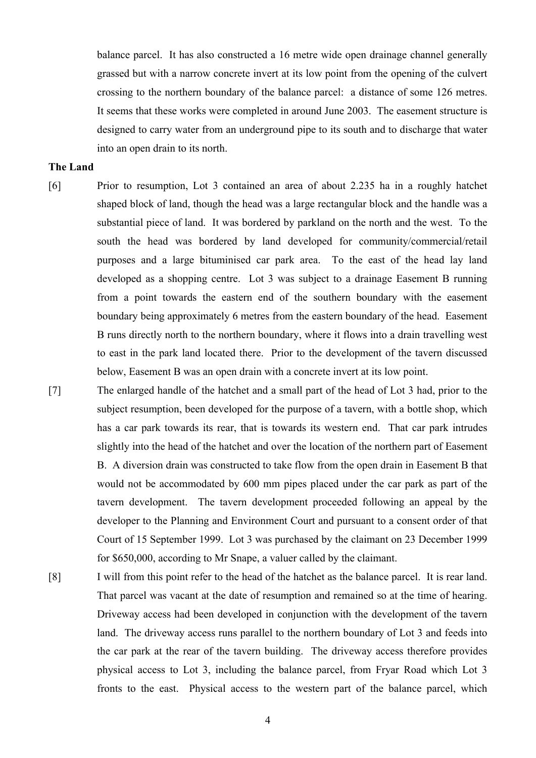balance parcel. It has also constructed a 16 metre wide open drainage channel generally grassed but with a narrow concrete invert at its low point from the opening of the culvert crossing to the northern boundary of the balance parcel: a distance of some 126 metres. It seems that these works were completed in around June 2003. The easement structure is designed to carry water from an underground pipe to its south and to discharge that water into an open drain to its north.

# **The Land**

- [6] Prior to resumption, Lot 3 contained an area of about 2.235 ha in a roughly hatchet shaped block of land, though the head was a large rectangular block and the handle was a substantial piece of land. It was bordered by parkland on the north and the west. To the south the head was bordered by land developed for community/commercial/retail purposes and a large bituminised car park area. To the east of the head lay land developed as a shopping centre. Lot 3 was subject to a drainage Easement B running from a point towards the eastern end of the southern boundary with the easement boundary being approximately 6 metres from the eastern boundary of the head. Easement B runs directly north to the northern boundary, where it flows into a drain travelling west to east in the park land located there. Prior to the development of the tavern discussed below, Easement B was an open drain with a concrete invert at its low point.
- [7] The enlarged handle of the hatchet and a small part of the head of Lot 3 had, prior to the subject resumption, been developed for the purpose of a tavern, with a bottle shop, which has a car park towards its rear, that is towards its western end. That car park intrudes slightly into the head of the hatchet and over the location of the northern part of Easement B. A diversion drain was constructed to take flow from the open drain in Easement B that would not be accommodated by 600 mm pipes placed under the car park as part of the tavern development. The tavern development proceeded following an appeal by the developer to the Planning and Environment Court and pursuant to a consent order of that Court of 15 September 1999. Lot 3 was purchased by the claimant on 23 December 1999 for \$650,000, according to Mr Snape, a valuer called by the claimant.
- [8] I will from this point refer to the head of the hatchet as the balance parcel. It is rear land. That parcel was vacant at the date of resumption and remained so at the time of hearing. Driveway access had been developed in conjunction with the development of the tavern land. The driveway access runs parallel to the northern boundary of Lot 3 and feeds into the car park at the rear of the tavern building. The driveway access therefore provides physical access to Lot 3, including the balance parcel, from Fryar Road which Lot 3 fronts to the east. Physical access to the western part of the balance parcel, which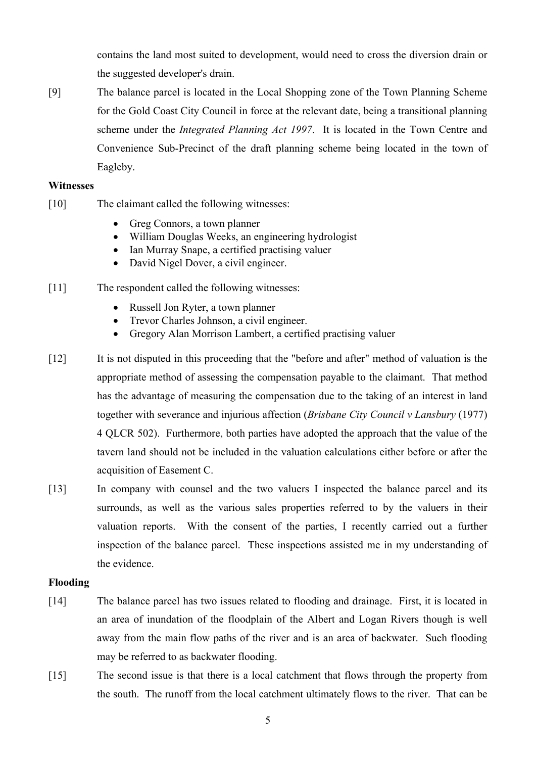contains the land most suited to development, would need to cross the diversion drain or the suggested developer's drain.

[9] The balance parcel is located in the Local Shopping zone of the Town Planning Scheme for the Gold Coast City Council in force at the relevant date, being a transitional planning scheme under the *Integrated Planning Act 1997*. It is located in the Town Centre and Convenience Sub-Precinct of the draft planning scheme being located in the town of Eagleby.

# **Witnesses**

- [10] The claimant called the following witnesses:
	- Greg Connors, a town planner
	- William Douglas Weeks, an engineering hydrologist
	- Ian Murray Snape, a certified practising valuer
	- David Nigel Dover, a civil engineer.
- [11] The respondent called the following witnesses:
	- Russell Jon Ryter, a town planner
	- Trevor Charles Johnson, a civil engineer.
	- Gregory Alan Morrison Lambert, a certified practising valuer
- [12] It is not disputed in this proceeding that the "before and after" method of valuation is the appropriate method of assessing the compensation payable to the claimant. That method has the advantage of measuring the compensation due to the taking of an interest in land together with severance and injurious affection (*Brisbane City Council v Lansbury* (1977) 4 QLCR 502). Furthermore, both parties have adopted the approach that the value of the tavern land should not be included in the valuation calculations either before or after the acquisition of Easement C.
- [13] In company with counsel and the two valuers I inspected the balance parcel and its surrounds, as well as the various sales properties referred to by the valuers in their valuation reports. With the consent of the parties, I recently carried out a further inspection of the balance parcel. These inspections assisted me in my understanding of the evidence.

## **Flooding**

- [14] The balance parcel has two issues related to flooding and drainage. First, it is located in an area of inundation of the floodplain of the Albert and Logan Rivers though is well away from the main flow paths of the river and is an area of backwater. Such flooding may be referred to as backwater flooding.
- [15] The second issue is that there is a local catchment that flows through the property from the south. The runoff from the local catchment ultimately flows to the river. That can be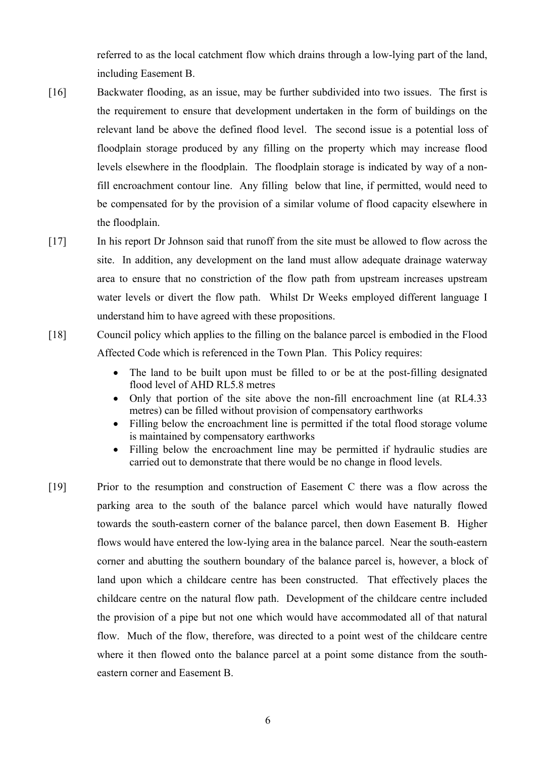referred to as the local catchment flow which drains through a low-lying part of the land, including Easement B.

- [16] Backwater flooding, as an issue, may be further subdivided into two issues. The first is the requirement to ensure that development undertaken in the form of buildings on the relevant land be above the defined flood level. The second issue is a potential loss of floodplain storage produced by any filling on the property which may increase flood levels elsewhere in the floodplain. The floodplain storage is indicated by way of a nonfill encroachment contour line. Any filling below that line, if permitted, would need to be compensated for by the provision of a similar volume of flood capacity elsewhere in the floodplain.
- [17] In his report Dr Johnson said that runoff from the site must be allowed to flow across the site. In addition, any development on the land must allow adequate drainage waterway area to ensure that no constriction of the flow path from upstream increases upstream water levels or divert the flow path. Whilst Dr Weeks employed different language I understand him to have agreed with these propositions.
- [18] Council policy which applies to the filling on the balance parcel is embodied in the Flood Affected Code which is referenced in the Town Plan. This Policy requires:
	- The land to be built upon must be filled to or be at the post-filling designated flood level of AHD RL5.8 metres
	- Only that portion of the site above the non-fill encroachment line (at RL4.33 metres) can be filled without provision of compensatory earthworks
	- Filling below the encroachment line is permitted if the total flood storage volume is maintained by compensatory earthworks
	- Filling below the encroachment line may be permitted if hydraulic studies are carried out to demonstrate that there would be no change in flood levels.
- [19] Prior to the resumption and construction of Easement C there was a flow across the parking area to the south of the balance parcel which would have naturally flowed towards the south-eastern corner of the balance parcel, then down Easement B. Higher flows would have entered the low-lying area in the balance parcel. Near the south-eastern corner and abutting the southern boundary of the balance parcel is, however, a block of land upon which a childcare centre has been constructed. That effectively places the childcare centre on the natural flow path. Development of the childcare centre included the provision of a pipe but not one which would have accommodated all of that natural flow. Much of the flow, therefore, was directed to a point west of the childcare centre where it then flowed onto the balance parcel at a point some distance from the southeastern corner and Easement B.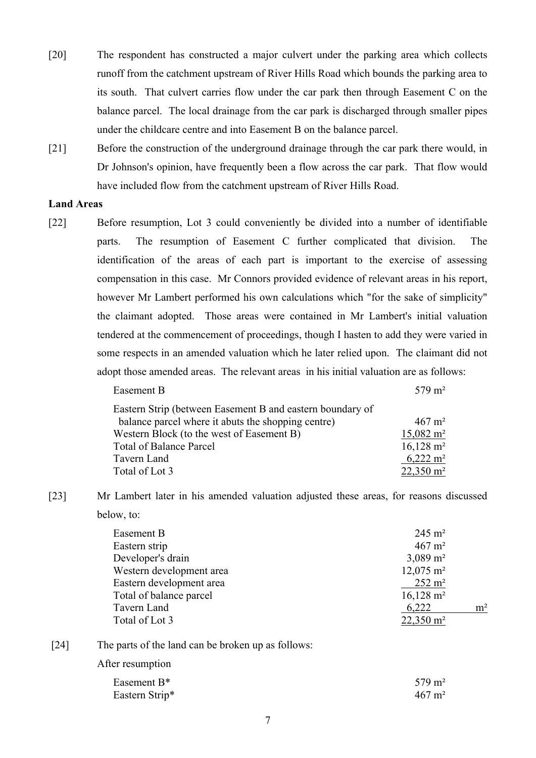- [20] The respondent has constructed a major culvert under the parking area which collects runoff from the catchment upstream of River Hills Road which bounds the parking area to its south. That culvert carries flow under the car park then through Easement C on the balance parcel. The local drainage from the car park is discharged through smaller pipes under the childcare centre and into Easement B on the balance parcel.
- [21] Before the construction of the underground drainage through the car park there would, in Dr Johnson's opinion, have frequently been a flow across the car park. That flow would have included flow from the catchment upstream of River Hills Road.

# **Land Areas**

[22] Before resumption, Lot 3 could conveniently be divided into a number of identifiable parts. The resumption of Easement C further complicated that division. The identification of the areas of each part is important to the exercise of assessing compensation in this case. Mr Connors provided evidence of relevant areas in his report, however Mr Lambert performed his own calculations which "for the sake of simplicity" the claimant adopted. Those areas were contained in Mr Lambert's initial valuation tendered at the commencement of proceedings, though I hasten to add they were varied in some respects in an amended valuation which he later relied upon. The claimant did not adopt those amended areas. The relevant areas in his initial valuation are as follows:

| Easement B                                                | $579 \text{ m}^2$       |
|-----------------------------------------------------------|-------------------------|
| Eastern Strip (between Easement B and eastern boundary of |                         |
| balance parcel where it abuts the shopping centre)        | $467 \text{ m}^2$       |
| Western Block (to the west of Easement B)                 | $15,082 \text{ m}^2$    |
| <b>Total of Balance Parcel</b>                            | $16,128 \text{ m}^2$    |
| Tavern Land                                               | $6,222 \; \mathrm{m}^2$ |
| Total of Lot 3                                            | $22,350 \text{ m}^2$    |

[23] Mr Lambert later in his amended valuation adjusted these areas, for reasons discussed below, to:

| Easement B               | $245 \text{ m}^2$    |                |
|--------------------------|----------------------|----------------|
| Eastern strip            | $467 \text{ m}^2$    |                |
| Developer's drain        | $3,089 \text{ m}^2$  |                |
| Western development area | $12,075 \text{ m}^2$ |                |
| Eastern development area | $252 \text{ m}^2$    |                |
| Total of balance parcel  | $16,128 \text{ m}^2$ |                |
| Tavern Land              | 6,222                | m <sup>2</sup> |
| Total of Lot 3           | $22,350 \text{ m}^2$ |                |
|                          |                      |                |

[24] The parts of the land can be broken up as follows:

After resumption

| Easement B <sup>*</sup> | $579 \text{ m}^2$ |
|-------------------------|-------------------|
| Eastern Strip*          | $467 \text{ m}^2$ |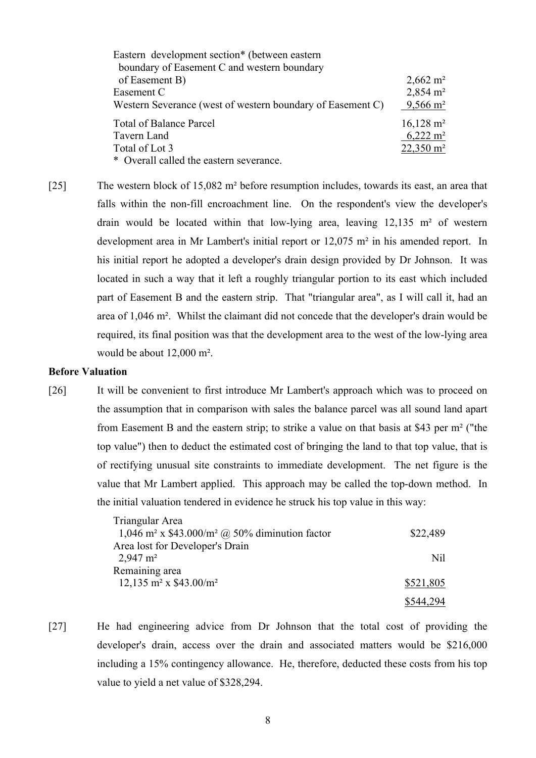| Eastern development section* (between eastern              |                      |
|------------------------------------------------------------|----------------------|
| boundary of Easement C and western boundary                |                      |
| of Easement B)                                             | $2,662 \text{ m}^2$  |
| Easement C                                                 | $2,854 \text{ m}^2$  |
| Western Severance (west of western boundary of Easement C) | $9,566 \text{ m}^2$  |
| <b>Total of Balance Parcel</b>                             | $16,128 \text{ m}^2$ |
| Tavern Land                                                | $6,222 \text{ m}^2$  |
| Total of Lot 3                                             | $22,350 \text{ m}^2$ |
| * Overall called the eastern severance.                    |                      |

[25] The western block of 15,082 m² before resumption includes, towards its east, an area that falls within the non-fill encroachment line. On the respondent's view the developer's drain would be located within that low-lying area, leaving 12,135 m² of western development area in Mr Lambert's initial report or 12,075 m² in his amended report. In his initial report he adopted a developer's drain design provided by Dr Johnson. It was located in such a way that it left a roughly triangular portion to its east which included part of Easement B and the eastern strip. That "triangular area", as I will call it, had an area of 1,046 m². Whilst the claimant did not concede that the developer's drain would be required, its final position was that the development area to the west of the low-lying area would be about 12,000 m².

# **Before Valuation**

[26] It will be convenient to first introduce Mr Lambert's approach which was to proceed on the assumption that in comparison with sales the balance parcel was all sound land apart from Easement B and the eastern strip; to strike a value on that basis at \$43 per m² ("the top value") then to deduct the estimated cost of bringing the land to that top value, that is of rectifying unusual site constraints to immediate development. The net figure is the value that Mr Lambert applied. This approach may be called the top-down method. In the initial valuation tendered in evidence he struck his top value in this way:

| Triangular Area                                                        |           |
|------------------------------------------------------------------------|-----------|
| 1,046 m <sup>2</sup> x \$43.000/m <sup>2</sup> @ 50% diminution factor | \$22,489  |
| Area lost for Developer's Drain                                        |           |
| $2,947 \text{ m}^2$                                                    | Nil       |
| Remaining area                                                         |           |
| 12,135 m <sup>2</sup> x $$43.00/m^2$                                   | \$521,805 |
|                                                                        | \$544,294 |

[27] He had engineering advice from Dr Johnson that the total cost of providing the developer's drain, access over the drain and associated matters would be \$216,000 including a 15% contingency allowance. He, therefore, deducted these costs from his top value to yield a net value of \$328,294.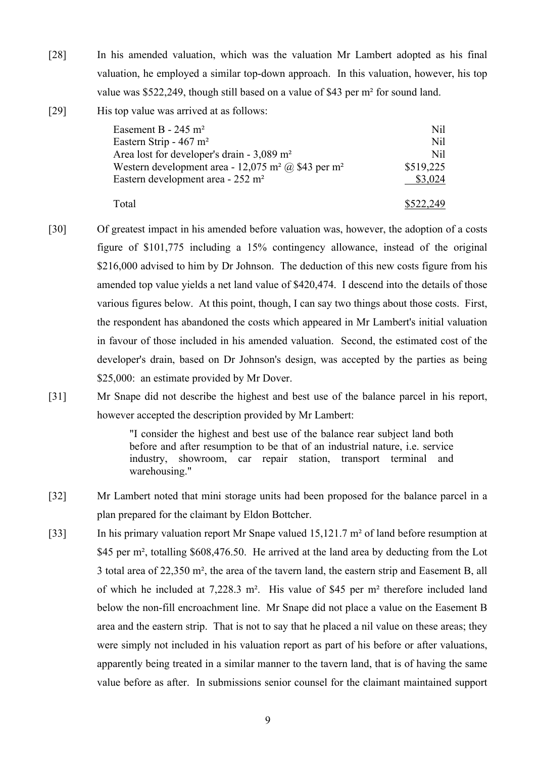- [28] In his amended valuation, which was the valuation Mr Lambert adopted as his final valuation, he employed a similar top-down approach. In this valuation, however, his top value was \$522,249, though still based on a value of \$43 per m² for sound land.
- [29] His top value was arrived at as follows:

| Easement B - $245 \text{ m}^2$                                             | Nil       |
|----------------------------------------------------------------------------|-----------|
|                                                                            | Nil       |
| Eastern Strip - $467 \text{ m}^2$                                          |           |
| Area lost for developer's drain - $3,089$ m <sup>2</sup>                   | Nil       |
| Western development area - 12,075 m <sup>2</sup> @ \$43 per m <sup>2</sup> | \$519,225 |
| Eastern development area - 252 m <sup>2</sup>                              | \$3,024   |
| Total                                                                      | \$522,249 |

- [30] Of greatest impact in his amended before valuation was, however, the adoption of a costs figure of \$101,775 including a 15% contingency allowance, instead of the original \$216,000 advised to him by Dr Johnson. The deduction of this new costs figure from his amended top value yields a net land value of \$420,474. I descend into the details of those various figures below. At this point, though, I can say two things about those costs. First, the respondent has abandoned the costs which appeared in Mr Lambert's initial valuation in favour of those included in his amended valuation. Second, the estimated cost of the developer's drain, based on Dr Johnson's design, was accepted by the parties as being \$25,000: an estimate provided by Mr Dover.
- [31] Mr Snape did not describe the highest and best use of the balance parcel in his report, however accepted the description provided by Mr Lambert:

"I consider the highest and best use of the balance rear subject land both before and after resumption to be that of an industrial nature, i.e. service industry, showroom, car repair station, transport terminal and warehousing."

- [32] Mr Lambert noted that mini storage units had been proposed for the balance parcel in a plan prepared for the claimant by Eldon Bottcher.
- [33] In his primary valuation report Mr Snape valued 15,121.7 m² of land before resumption at \$45 per m<sup>2</sup>, totalling \$608,476.50. He arrived at the land area by deducting from the Lot 3 total area of 22,350 m², the area of the tavern land, the eastern strip and Easement B, all of which he included at 7,228.3 m². His value of \$45 per m² therefore included land below the non-fill encroachment line. Mr Snape did not place a value on the Easement B area and the eastern strip. That is not to say that he placed a nil value on these areas; they were simply not included in his valuation report as part of his before or after valuations, apparently being treated in a similar manner to the tavern land, that is of having the same value before as after. In submissions senior counsel for the claimant maintained support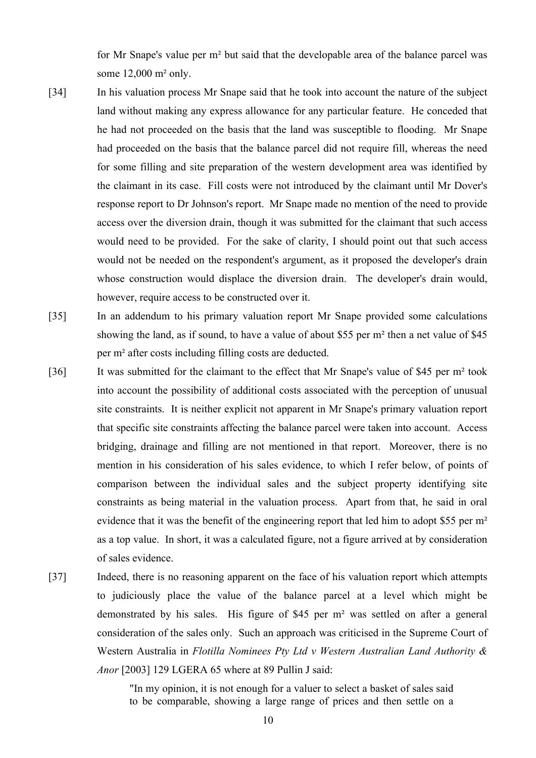for Mr Snape's value per m² but said that the developable area of the balance parcel was some 12,000 m² only.

- [34] In his valuation process Mr Snape said that he took into account the nature of the subject land without making any express allowance for any particular feature. He conceded that he had not proceeded on the basis that the land was susceptible to flooding. Mr Snape had proceeded on the basis that the balance parcel did not require fill, whereas the need for some filling and site preparation of the western development area was identified by the claimant in its case. Fill costs were not introduced by the claimant until Mr Dover's response report to Dr Johnson's report. Mr Snape made no mention of the need to provide access over the diversion drain, though it was submitted for the claimant that such access would need to be provided. For the sake of clarity, I should point out that such access would not be needed on the respondent's argument, as it proposed the developer's drain whose construction would displace the diversion drain. The developer's drain would, however, require access to be constructed over it.
- [35] In an addendum to his primary valuation report Mr Snape provided some calculations showing the land, as if sound, to have a value of about \$55 per m² then a net value of \$45 per m² after costs including filling costs are deducted.
- [36] It was submitted for the claimant to the effect that Mr Snape's value of \$45 per m² took into account the possibility of additional costs associated with the perception of unusual site constraints. It is neither explicit not apparent in Mr Snape's primary valuation report that specific site constraints affecting the balance parcel were taken into account. Access bridging, drainage and filling are not mentioned in that report. Moreover, there is no mention in his consideration of his sales evidence, to which I refer below, of points of comparison between the individual sales and the subject property identifying site constraints as being material in the valuation process. Apart from that, he said in oral evidence that it was the benefit of the engineering report that led him to adopt \$55 per m² as a top value. In short, it was a calculated figure, not a figure arrived at by consideration of sales evidence.
- [37] Indeed, there is no reasoning apparent on the face of his valuation report which attempts to judiciously place the value of the balance parcel at a level which might be demonstrated by his sales. His figure of \$45 per m² was settled on after a general consideration of the sales only. Such an approach was criticised in the Supreme Court of Western Australia in *Flotilla Nominees Pty Ltd v Western Australian Land Authority & Anor* [2003] 129 LGERA 65 where at 89 Pullin J said:

"In my opinion, it is not enough for a valuer to select a basket of sales said to be comparable, showing a large range of prices and then settle on a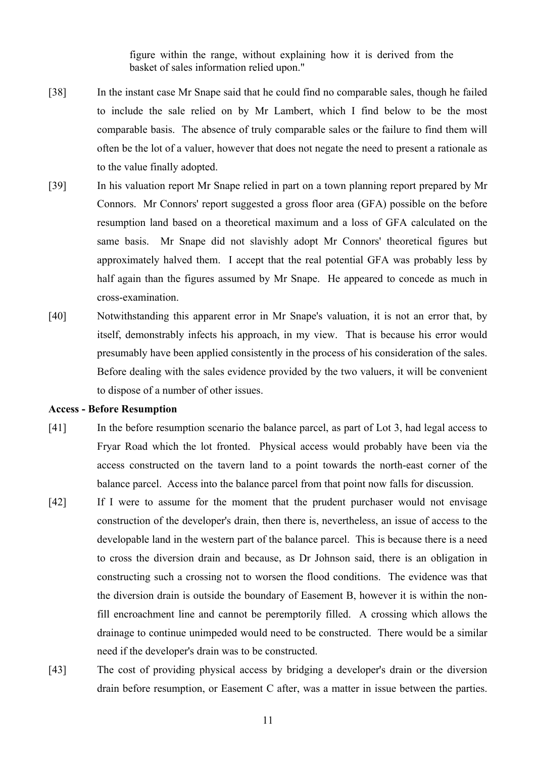figure within the range, without explaining how it is derived from the basket of sales information relied upon."

- [38] In the instant case Mr Snape said that he could find no comparable sales, though he failed to include the sale relied on by Mr Lambert, which I find below to be the most comparable basis. The absence of truly comparable sales or the failure to find them will often be the lot of a valuer, however that does not negate the need to present a rationale as to the value finally adopted.
- [39] In his valuation report Mr Snape relied in part on a town planning report prepared by Mr Connors. Mr Connors' report suggested a gross floor area (GFA) possible on the before resumption land based on a theoretical maximum and a loss of GFA calculated on the same basis. Mr Snape did not slavishly adopt Mr Connors' theoretical figures but approximately halved them. I accept that the real potential GFA was probably less by half again than the figures assumed by Mr Snape. He appeared to concede as much in cross-examination.
- [40] Notwithstanding this apparent error in Mr Snape's valuation, it is not an error that, by itself, demonstrably infects his approach, in my view. That is because his error would presumably have been applied consistently in the process of his consideration of the sales. Before dealing with the sales evidence provided by the two valuers, it will be convenient to dispose of a number of other issues.

#### **Access - Before Resumption**

- [41] In the before resumption scenario the balance parcel, as part of Lot 3, had legal access to Fryar Road which the lot fronted. Physical access would probably have been via the access constructed on the tavern land to a point towards the north-east corner of the balance parcel. Access into the balance parcel from that point now falls for discussion.
- [42] If I were to assume for the moment that the prudent purchaser would not envisage construction of the developer's drain, then there is, nevertheless, an issue of access to the developable land in the western part of the balance parcel. This is because there is a need to cross the diversion drain and because, as Dr Johnson said, there is an obligation in constructing such a crossing not to worsen the flood conditions. The evidence was that the diversion drain is outside the boundary of Easement B, however it is within the nonfill encroachment line and cannot be peremptorily filled. A crossing which allows the drainage to continue unimpeded would need to be constructed. There would be a similar need if the developer's drain was to be constructed.
- [43] The cost of providing physical access by bridging a developer's drain or the diversion drain before resumption, or Easement C after, was a matter in issue between the parties.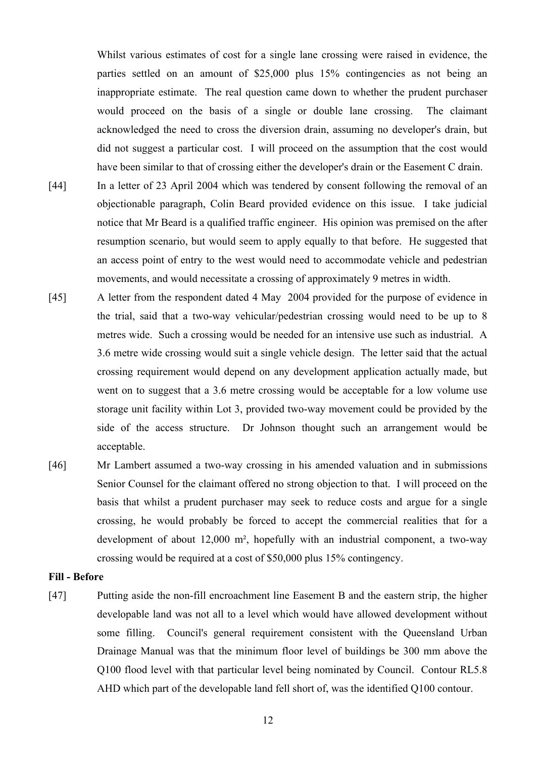Whilst various estimates of cost for a single lane crossing were raised in evidence, the parties settled on an amount of \$25,000 plus 15% contingencies as not being an inappropriate estimate. The real question came down to whether the prudent purchaser would proceed on the basis of a single or double lane crossing. The claimant acknowledged the need to cross the diversion drain, assuming no developer's drain, but did not suggest a particular cost. I will proceed on the assumption that the cost would have been similar to that of crossing either the developer's drain or the Easement C drain.

- [44] In a letter of 23 April 2004 which was tendered by consent following the removal of an objectionable paragraph, Colin Beard provided evidence on this issue. I take judicial notice that Mr Beard is a qualified traffic engineer. His opinion was premised on the after resumption scenario, but would seem to apply equally to that before. He suggested that an access point of entry to the west would need to accommodate vehicle and pedestrian movements, and would necessitate a crossing of approximately 9 metres in width.
- [45] A letter from the respondent dated 4 May 2004 provided for the purpose of evidence in the trial, said that a two-way vehicular/pedestrian crossing would need to be up to 8 metres wide. Such a crossing would be needed for an intensive use such as industrial. A 3.6 metre wide crossing would suit a single vehicle design. The letter said that the actual crossing requirement would depend on any development application actually made, but went on to suggest that a 3.6 metre crossing would be acceptable for a low volume use storage unit facility within Lot 3, provided two-way movement could be provided by the side of the access structure. Dr Johnson thought such an arrangement would be acceptable.
- [46] Mr Lambert assumed a two-way crossing in his amended valuation and in submissions Senior Counsel for the claimant offered no strong objection to that. I will proceed on the basis that whilst a prudent purchaser may seek to reduce costs and argue for a single crossing, he would probably be forced to accept the commercial realities that for a development of about 12,000 m², hopefully with an industrial component, a two-way crossing would be required at a cost of \$50,000 plus 15% contingency.

# **Fill - Before**

[47] Putting aside the non-fill encroachment line Easement B and the eastern strip, the higher developable land was not all to a level which would have allowed development without some filling. Council's general requirement consistent with the Queensland Urban Drainage Manual was that the minimum floor level of buildings be 300 mm above the Q100 flood level with that particular level being nominated by Council. Contour RL5.8 AHD which part of the developable land fell short of, was the identified Q100 contour.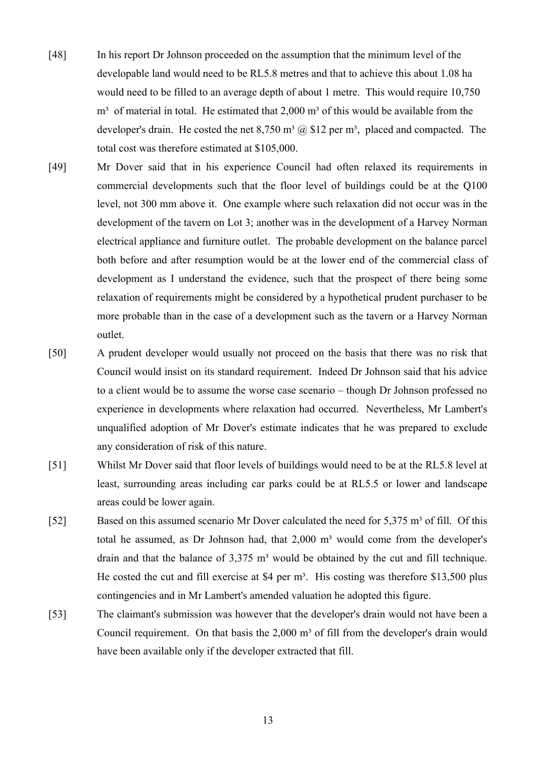- [48] In his report Dr Johnson proceeded on the assumption that the minimum level of the developable land would need to be RL5.8 metres and that to achieve this about 1.08 ha would need to be filled to an average depth of about 1 metre. This would require 10,750  $m<sup>3</sup>$  of material in total. He estimated that 2,000  $m<sup>3</sup>$  of this would be available from the developer's drain. He costed the net  $8,750$  m<sup>3</sup>  $\omega$  \$12 per m<sup>3</sup>, placed and compacted. The total cost was therefore estimated at \$105,000.
- [49] Mr Dover said that in his experience Council had often relaxed its requirements in commercial developments such that the floor level of buildings could be at the Q100 level, not 300 mm above it. One example where such relaxation did not occur was in the development of the tavern on Lot 3; another was in the development of a Harvey Norman electrical appliance and furniture outlet. The probable development on the balance parcel both before and after resumption would be at the lower end of the commercial class of development as I understand the evidence, such that the prospect of there being some relaxation of requirements might be considered by a hypothetical prudent purchaser to be more probable than in the case of a development such as the tavern or a Harvey Norman outlet.
- [50] A prudent developer would usually not proceed on the basis that there was no risk that Council would insist on its standard requirement. Indeed Dr Johnson said that his advice to a client would be to assume the worse case scenario – though Dr Johnson professed no experience in developments where relaxation had occurred. Nevertheless, Mr Lambert's unqualified adoption of Mr Dover's estimate indicates that he was prepared to exclude any consideration of risk of this nature.
- [51] Whilst Mr Dover said that floor levels of buildings would need to be at the RL5.8 level at least, surrounding areas including car parks could be at RL5.5 or lower and landscape areas could be lower again.
- [52] Based on this assumed scenario Mr Dover calculated the need for 5,375 m<sup>3</sup> of fill. Of this total he assumed, as Dr Johnson had, that  $2,000$  m<sup>3</sup> would come from the developer's drain and that the balance of  $3.375 \text{ m}^3$  would be obtained by the cut and fill technique. He costed the cut and fill exercise at \$4 per  $m<sup>3</sup>$ . His costing was therefore \$13,500 plus contingencies and in Mr Lambert's amended valuation he adopted this figure.
- [53] The claimant's submission was however that the developer's drain would not have been a Council requirement. On that basis the  $2,000 \text{ m}^3$  of fill from the developer's drain would have been available only if the developer extracted that fill.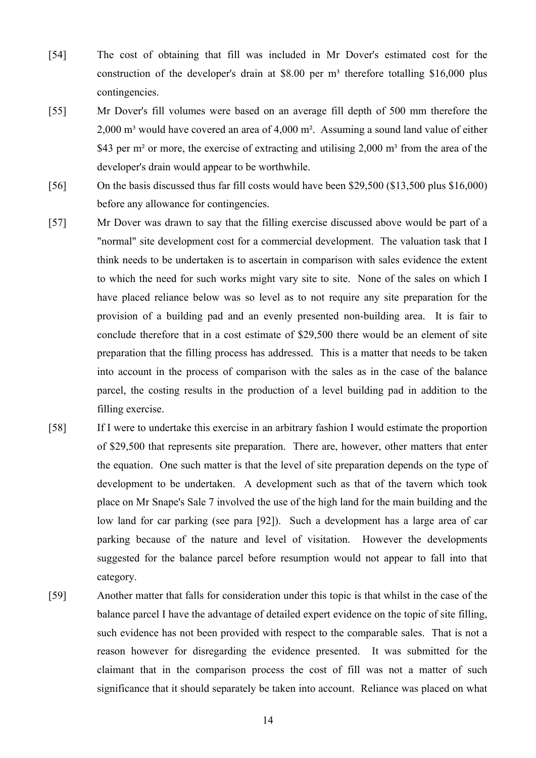- [54] The cost of obtaining that fill was included in Mr Dover's estimated cost for the construction of the developer's drain at \$8.00 per  $m<sup>3</sup>$  therefore totalling \$16,000 plus contingencies.
- [55] Mr Dover's fill volumes were based on an average fill depth of 500 mm therefore the  $2,000$  m<sup>3</sup> would have covered an area of  $4,000$  m<sup>2</sup>. Assuming a sound land value of either \$43 per m<sup>2</sup> or more, the exercise of extracting and utilising  $2,000$  m<sup>3</sup> from the area of the developer's drain would appear to be worthwhile.
- [56] On the basis discussed thus far fill costs would have been \$29,500 (\$13,500 plus \$16,000) before any allowance for contingencies.
- [57] Mr Dover was drawn to say that the filling exercise discussed above would be part of a "normal" site development cost for a commercial development. The valuation task that I think needs to be undertaken is to ascertain in comparison with sales evidence the extent to which the need for such works might vary site to site. None of the sales on which I have placed reliance below was so level as to not require any site preparation for the provision of a building pad and an evenly presented non-building area. It is fair to conclude therefore that in a cost estimate of \$29,500 there would be an element of site preparation that the filling process has addressed. This is a matter that needs to be taken into account in the process of comparison with the sales as in the case of the balance parcel, the costing results in the production of a level building pad in addition to the filling exercise.
- [58] If I were to undertake this exercise in an arbitrary fashion I would estimate the proportion of \$29,500 that represents site preparation. There are, however, other matters that enter the equation. One such matter is that the level of site preparation depends on the type of development to be undertaken. A development such as that of the tavern which took place on Mr Snape's Sale 7 involved the use of the high land for the main building and the low land for car parking (see para [92]). Such a development has a large area of car parking because of the nature and level of visitation. However the developments suggested for the balance parcel before resumption would not appear to fall into that category.
- [59] Another matter that falls for consideration under this topic is that whilst in the case of the balance parcel I have the advantage of detailed expert evidence on the topic of site filling, such evidence has not been provided with respect to the comparable sales. That is not a reason however for disregarding the evidence presented. It was submitted for the claimant that in the comparison process the cost of fill was not a matter of such significance that it should separately be taken into account. Reliance was placed on what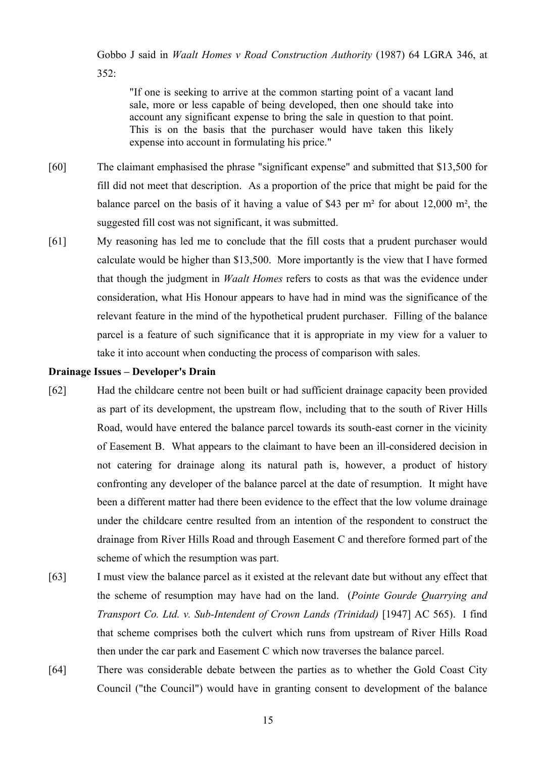Gobbo J said in *Waalt Homes v Road Construction Authority* (1987) 64 LGRA 346, at  $352$ 

"If one is seeking to arrive at the common starting point of a vacant land sale, more or less capable of being developed, then one should take into account any significant expense to bring the sale in question to that point. This is on the basis that the purchaser would have taken this likely expense into account in formulating his price."

- [60] The claimant emphasised the phrase "significant expense" and submitted that \$13,500 for fill did not meet that description. As a proportion of the price that might be paid for the balance parcel on the basis of it having a value of \$43 per m² for about 12,000 m², the suggested fill cost was not significant, it was submitted.
- [61] My reasoning has led me to conclude that the fill costs that a prudent purchaser would calculate would be higher than \$13,500. More importantly is the view that I have formed that though the judgment in *Waalt Homes* refers to costs as that was the evidence under consideration, what His Honour appears to have had in mind was the significance of the relevant feature in the mind of the hypothetical prudent purchaser. Filling of the balance parcel is a feature of such significance that it is appropriate in my view for a valuer to take it into account when conducting the process of comparison with sales.

# **Drainage Issues – Developer's Drain**

- [62] Had the childcare centre not been built or had sufficient drainage capacity been provided as part of its development, the upstream flow, including that to the south of River Hills Road, would have entered the balance parcel towards its south-east corner in the vicinity of Easement B. What appears to the claimant to have been an ill-considered decision in not catering for drainage along its natural path is, however, a product of history confronting any developer of the balance parcel at the date of resumption. It might have been a different matter had there been evidence to the effect that the low volume drainage under the childcare centre resulted from an intention of the respondent to construct the drainage from River Hills Road and through Easement C and therefore formed part of the scheme of which the resumption was part.
- [63] I must view the balance parcel as it existed at the relevant date but without any effect that the scheme of resumption may have had on the land. (*Pointe Gourde Quarrying and Transport Co. Ltd. v. Sub-Intendent of Crown Lands (Trinidad)* [1947] AC 565). I find that scheme comprises both the culvert which runs from upstream of River Hills Road then under the car park and Easement C which now traverses the balance parcel.
- [64] There was considerable debate between the parties as to whether the Gold Coast City Council ("the Council") would have in granting consent to development of the balance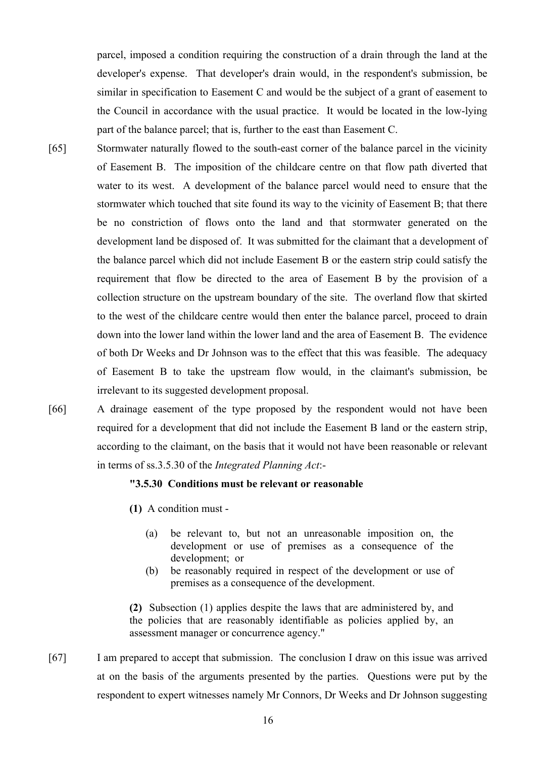parcel, imposed a condition requiring the construction of a drain through the land at the developer's expense. That developer's drain would, in the respondent's submission, be similar in specification to Easement C and would be the subject of a grant of easement to the Council in accordance with the usual practice. It would be located in the low-lying part of the balance parcel; that is, further to the east than Easement C.

- [65] Stormwater naturally flowed to the south-east corner of the balance parcel in the vicinity of Easement B. The imposition of the childcare centre on that flow path diverted that water to its west. A development of the balance parcel would need to ensure that the stormwater which touched that site found its way to the vicinity of Easement B; that there be no constriction of flows onto the land and that stormwater generated on the development land be disposed of. It was submitted for the claimant that a development of the balance parcel which did not include Easement B or the eastern strip could satisfy the requirement that flow be directed to the area of Easement B by the provision of a collection structure on the upstream boundary of the site. The overland flow that skirted to the west of the childcare centre would then enter the balance parcel, proceed to drain down into the lower land within the lower land and the area of Easement B. The evidence of both Dr Weeks and Dr Johnson was to the effect that this was feasible. The adequacy of Easement B to take the upstream flow would, in the claimant's submission, be irrelevant to its suggested development proposal.
- 

[66] A drainage easement of the type proposed by the respondent would not have been required for a development that did not include the Easement B land or the eastern strip, according to the claimant, on the basis that it would not have been reasonable or relevant in terms of ss.3.5.30 of the *Integrated Planning Act*:-

# **"3.5.30 Conditions must be relevant or reasonable**

- **(1)** A condition must
	- (a) be relevant to, but not an unreasonable imposition on, the development or use of premises as a consequence of the development; or
	- (b) be reasonably required in respect of the development or use of premises as a consequence of the development.

**(2)** Subsection (1) applies despite the laws that are administered by, and the policies that are reasonably identifiable as policies applied by, an assessment manager or concurrence agency."

[67] I am prepared to accept that submission. The conclusion I draw on this issue was arrived at on the basis of the arguments presented by the parties. Questions were put by the respondent to expert witnesses namely Mr Connors, Dr Weeks and Dr Johnson suggesting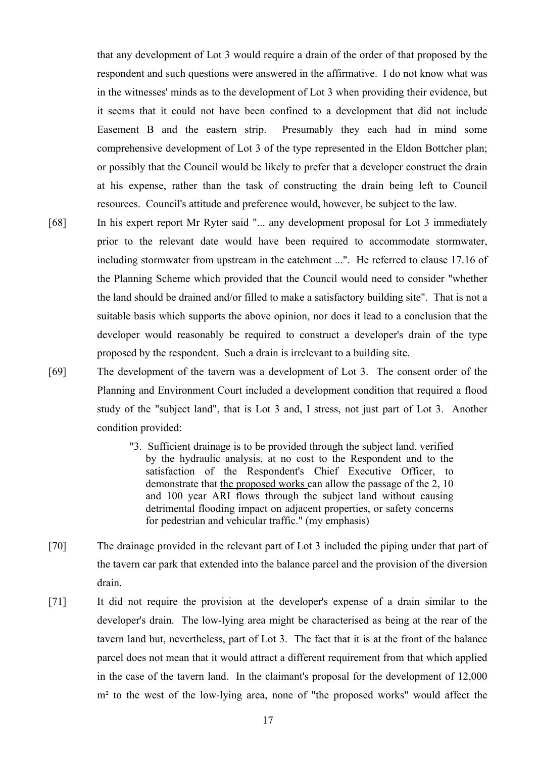that any development of Lot 3 would require a drain of the order of that proposed by the respondent and such questions were answered in the affirmative. I do not know what was in the witnesses' minds as to the development of Lot 3 when providing their evidence, but it seems that it could not have been confined to a development that did not include Easement B and the eastern strip. Presumably they each had in mind some comprehensive development of Lot 3 of the type represented in the Eldon Bottcher plan; or possibly that the Council would be likely to prefer that a developer construct the drain at his expense, rather than the task of constructing the drain being left to Council resources. Council's attitude and preference would, however, be subject to the law.

- [68] In his expert report Mr Ryter said "... any development proposal for Lot 3 immediately prior to the relevant date would have been required to accommodate stormwater, including stormwater from upstream in the catchment ...". He referred to clause 17.16 of the Planning Scheme which provided that the Council would need to consider "whether the land should be drained and/or filled to make a satisfactory building site". That is not a suitable basis which supports the above opinion, nor does it lead to a conclusion that the developer would reasonably be required to construct a developer's drain of the type proposed by the respondent. Such a drain is irrelevant to a building site.
- [69] The development of the tavern was a development of Lot 3. The consent order of the Planning and Environment Court included a development condition that required a flood study of the "subject land", that is Lot 3 and, I stress, not just part of Lot 3. Another condition provided:
	- "3. Sufficient drainage is to be provided through the subject land, verified by the hydraulic analysis, at no cost to the Respondent and to the satisfaction of the Respondent's Chief Executive Officer, to demonstrate that the proposed works can allow the passage of the 2, 10 and 100 year ARI flows through the subject land without causing detrimental flooding impact on adjacent properties, or safety concerns for pedestrian and vehicular traffic." (my emphasis)
- [70] The drainage provided in the relevant part of Lot 3 included the piping under that part of the tavern car park that extended into the balance parcel and the provision of the diversion drain.
- [71] It did not require the provision at the developer's expense of a drain similar to the developer's drain. The low-lying area might be characterised as being at the rear of the tavern land but, nevertheless, part of Lot 3. The fact that it is at the front of the balance parcel does not mean that it would attract a different requirement from that which applied in the case of the tavern land. In the claimant's proposal for the development of 12,000 m<sup>2</sup> to the west of the low-lying area, none of "the proposed works" would affect the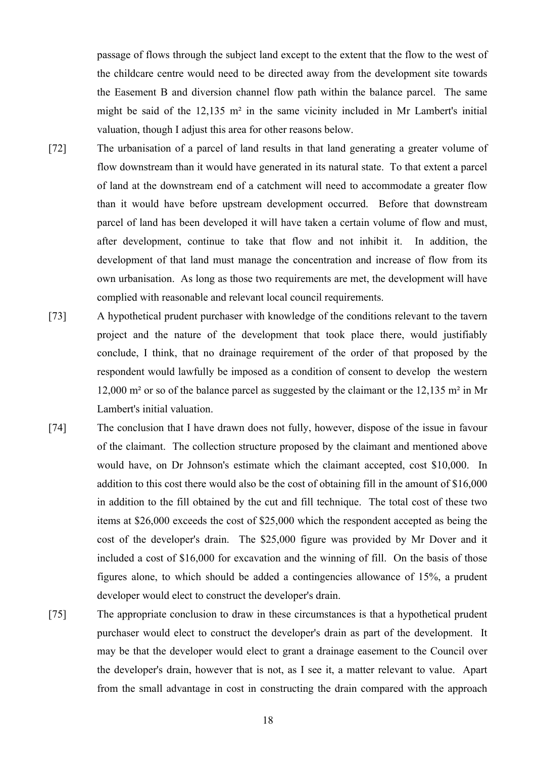passage of flows through the subject land except to the extent that the flow to the west of the childcare centre would need to be directed away from the development site towards the Easement B and diversion channel flow path within the balance parcel. The same might be said of the 12,135 m² in the same vicinity included in Mr Lambert's initial valuation, though I adjust this area for other reasons below.

- [72] The urbanisation of a parcel of land results in that land generating a greater volume of flow downstream than it would have generated in its natural state. To that extent a parcel of land at the downstream end of a catchment will need to accommodate a greater flow than it would have before upstream development occurred. Before that downstream parcel of land has been developed it will have taken a certain volume of flow and must, after development, continue to take that flow and not inhibit it. In addition, the development of that land must manage the concentration and increase of flow from its own urbanisation. As long as those two requirements are met, the development will have complied with reasonable and relevant local council requirements.
- [73] A hypothetical prudent purchaser with knowledge of the conditions relevant to the tavern project and the nature of the development that took place there, would justifiably conclude, I think, that no drainage requirement of the order of that proposed by the respondent would lawfully be imposed as a condition of consent to develop the western 12,000 m² or so of the balance parcel as suggested by the claimant or the 12,135 m² in Mr Lambert's initial valuation.
- [74] The conclusion that I have drawn does not fully, however, dispose of the issue in favour of the claimant. The collection structure proposed by the claimant and mentioned above would have, on Dr Johnson's estimate which the claimant accepted, cost \$10,000. In addition to this cost there would also be the cost of obtaining fill in the amount of \$16,000 in addition to the fill obtained by the cut and fill technique. The total cost of these two items at \$26,000 exceeds the cost of \$25,000 which the respondent accepted as being the cost of the developer's drain. The \$25,000 figure was provided by Mr Dover and it included a cost of \$16,000 for excavation and the winning of fill. On the basis of those figures alone, to which should be added a contingencies allowance of 15%, a prudent developer would elect to construct the developer's drain.
- [75] The appropriate conclusion to draw in these circumstances is that a hypothetical prudent purchaser would elect to construct the developer's drain as part of the development. It may be that the developer would elect to grant a drainage easement to the Council over the developer's drain, however that is not, as I see it, a matter relevant to value. Apart from the small advantage in cost in constructing the drain compared with the approach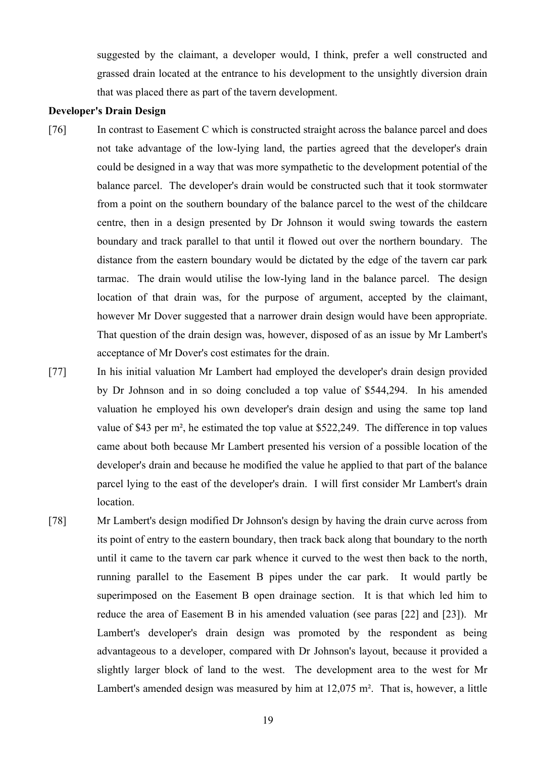suggested by the claimant, a developer would, I think, prefer a well constructed and grassed drain located at the entrance to his development to the unsightly diversion drain that was placed there as part of the tavern development.

# **Developer's Drain Design**

- [76] In contrast to Easement C which is constructed straight across the balance parcel and does not take advantage of the low-lying land, the parties agreed that the developer's drain could be designed in a way that was more sympathetic to the development potential of the balance parcel. The developer's drain would be constructed such that it took stormwater from a point on the southern boundary of the balance parcel to the west of the childcare centre, then in a design presented by Dr Johnson it would swing towards the eastern boundary and track parallel to that until it flowed out over the northern boundary. The distance from the eastern boundary would be dictated by the edge of the tavern car park tarmac. The drain would utilise the low-lying land in the balance parcel. The design location of that drain was, for the purpose of argument, accepted by the claimant, however Mr Dover suggested that a narrower drain design would have been appropriate. That question of the drain design was, however, disposed of as an issue by Mr Lambert's acceptance of Mr Dover's cost estimates for the drain.
- [77] In his initial valuation Mr Lambert had employed the developer's drain design provided by Dr Johnson and in so doing concluded a top value of \$544,294. In his amended valuation he employed his own developer's drain design and using the same top land value of \$43 per m², he estimated the top value at \$522,249. The difference in top values came about both because Mr Lambert presented his version of a possible location of the developer's drain and because he modified the value he applied to that part of the balance parcel lying to the east of the developer's drain. I will first consider Mr Lambert's drain location.
- [78] Mr Lambert's design modified Dr Johnson's design by having the drain curve across from its point of entry to the eastern boundary, then track back along that boundary to the north until it came to the tavern car park whence it curved to the west then back to the north, running parallel to the Easement B pipes under the car park. It would partly be superimposed on the Easement B open drainage section. It is that which led him to reduce the area of Easement B in his amended valuation (see paras [22] and [23]). Mr Lambert's developer's drain design was promoted by the respondent as being advantageous to a developer, compared with Dr Johnson's layout, because it provided a slightly larger block of land to the west. The development area to the west for Mr Lambert's amended design was measured by him at 12,075 m². That is, however, a little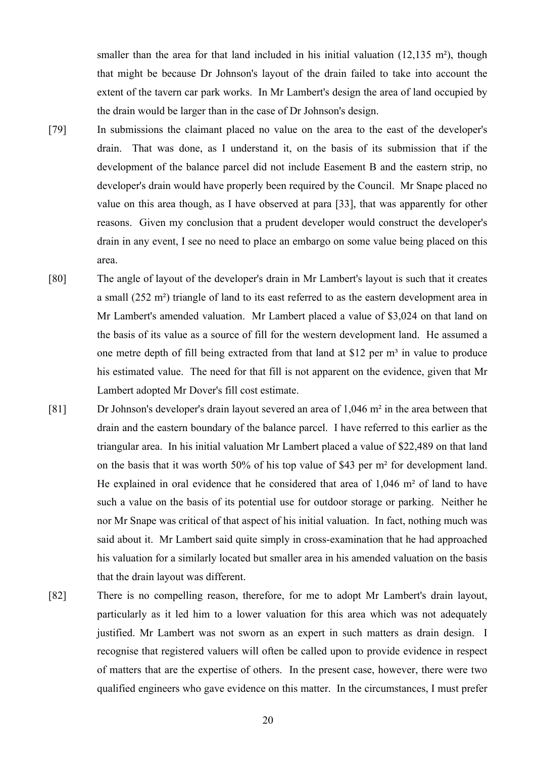smaller than the area for that land included in his initial valuation (12,135 m<sup>2</sup>), though that might be because Dr Johnson's layout of the drain failed to take into account the extent of the tavern car park works. In Mr Lambert's design the area of land occupied by the drain would be larger than in the case of Dr Johnson's design.

- [79] In submissions the claimant placed no value on the area to the east of the developer's drain. That was done, as I understand it, on the basis of its submission that if the development of the balance parcel did not include Easement B and the eastern strip, no developer's drain would have properly been required by the Council. Mr Snape placed no value on this area though, as I have observed at para [33], that was apparently for other reasons. Given my conclusion that a prudent developer would construct the developer's drain in any event, I see no need to place an embargo on some value being placed on this area.
- [80] The angle of layout of the developer's drain in Mr Lambert's layout is such that it creates a small (252 m²) triangle of land to its east referred to as the eastern development area in Mr Lambert's amended valuation. Mr Lambert placed a value of \$3,024 on that land on the basis of its value as a source of fill for the western development land. He assumed a one metre depth of fill being extracted from that land at \$12 per  $m<sup>3</sup>$  in value to produce his estimated value. The need for that fill is not apparent on the evidence, given that Mr Lambert adopted Mr Dover's fill cost estimate.
- [81] Dr Johnson's developer's drain layout severed an area of 1,046 m² in the area between that drain and the eastern boundary of the balance parcel. I have referred to this earlier as the triangular area. In his initial valuation Mr Lambert placed a value of \$22,489 on that land on the basis that it was worth 50% of his top value of \$43 per m² for development land. He explained in oral evidence that he considered that area of 1,046 m² of land to have such a value on the basis of its potential use for outdoor storage or parking. Neither he nor Mr Snape was critical of that aspect of his initial valuation. In fact, nothing much was said about it. Mr Lambert said quite simply in cross-examination that he had approached his valuation for a similarly located but smaller area in his amended valuation on the basis that the drain layout was different.
- [82] There is no compelling reason, therefore, for me to adopt Mr Lambert's drain layout, particularly as it led him to a lower valuation for this area which was not adequately justified. Mr Lambert was not sworn as an expert in such matters as drain design. I recognise that registered valuers will often be called upon to provide evidence in respect of matters that are the expertise of others. In the present case, however, there were two qualified engineers who gave evidence on this matter. In the circumstances, I must prefer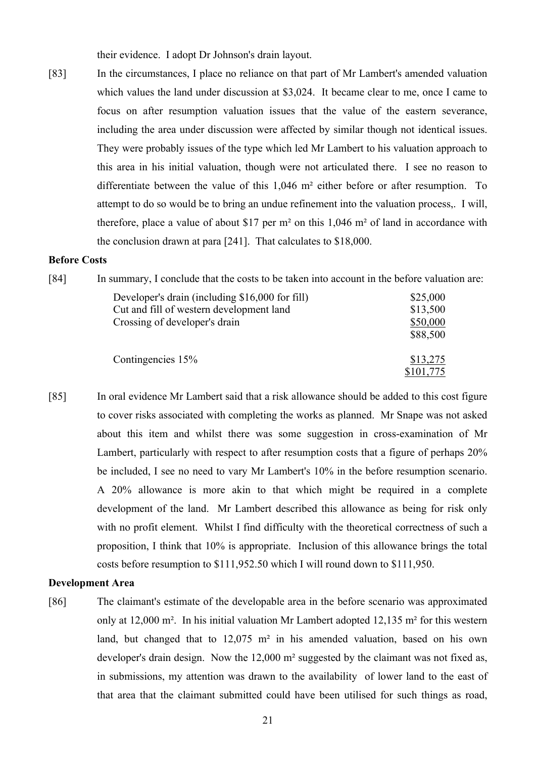their evidence. I adopt Dr Johnson's drain layout.

[83] In the circumstances, I place no reliance on that part of Mr Lambert's amended valuation which values the land under discussion at \$3,024. It became clear to me, once I came to focus on after resumption valuation issues that the value of the eastern severance, including the area under discussion were affected by similar though not identical issues. They were probably issues of the type which led Mr Lambert to his valuation approach to this area in his initial valuation, though were not articulated there. I see no reason to differentiate between the value of this 1,046 m² either before or after resumption. To attempt to do so would be to bring an undue refinement into the valuation process,. I will, therefore, place a value of about \$17 per m² on this 1,046 m² of land in accordance with the conclusion drawn at para [241]. That calculates to \$18,000.

#### **Before Costs**

| [84]              | In summary, I conclude that the costs to be taken into account in the before valuation are: |           |  |
|-------------------|---------------------------------------------------------------------------------------------|-----------|--|
|                   | Developer's drain (including \$16,000 for fill)                                             | \$25,000  |  |
|                   | Cut and fill of western development land                                                    | \$13,500  |  |
|                   | Crossing of developer's drain                                                               | \$50,000  |  |
|                   |                                                                                             | \$88,500  |  |
| Contingencies 15% | \$13,275                                                                                    |           |  |
|                   |                                                                                             | \$101,775 |  |

[85] In oral evidence Mr Lambert said that a risk allowance should be added to this cost figure to cover risks associated with completing the works as planned. Mr Snape was not asked about this item and whilst there was some suggestion in cross-examination of Mr Lambert, particularly with respect to after resumption costs that a figure of perhaps 20% be included, I see no need to vary Mr Lambert's 10% in the before resumption scenario. A 20% allowance is more akin to that which might be required in a complete development of the land. Mr Lambert described this allowance as being for risk only with no profit element. Whilst I find difficulty with the theoretical correctness of such a proposition, I think that 10% is appropriate. Inclusion of this allowance brings the total costs before resumption to \$111,952.50 which I will round down to \$111,950.

# **Development Area**

[86] The claimant's estimate of the developable area in the before scenario was approximated only at 12,000 m². In his initial valuation Mr Lambert adopted 12,135 m² for this western land, but changed that to 12,075 m² in his amended valuation, based on his own developer's drain design. Now the 12,000 m² suggested by the claimant was not fixed as, in submissions, my attention was drawn to the availability of lower land to the east of that area that the claimant submitted could have been utilised for such things as road,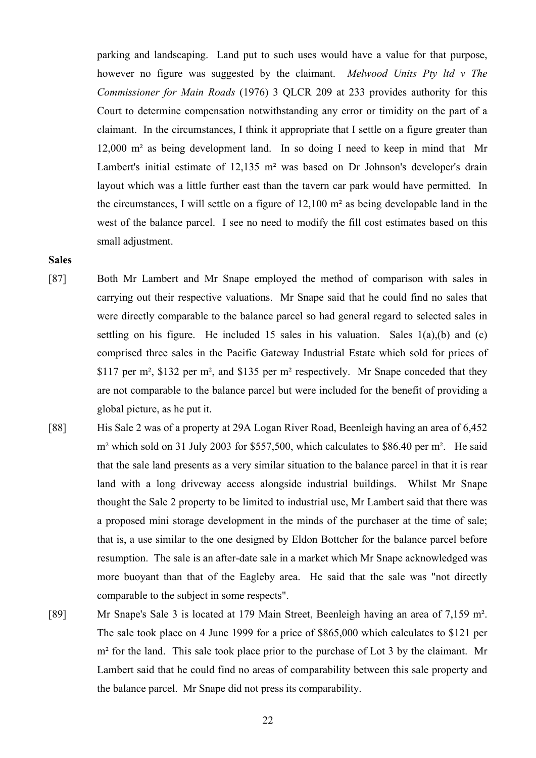parking and landscaping. Land put to such uses would have a value for that purpose, however no figure was suggested by the claimant. *Melwood Units Pty ltd v The Commissioner for Main Roads* (1976) 3 QLCR 209 at 233 provides authority for this Court to determine compensation notwithstanding any error or timidity on the part of a claimant. In the circumstances, I think it appropriate that I settle on a figure greater than 12,000 m² as being development land. In so doing I need to keep in mind that Mr Lambert's initial estimate of 12,135 m² was based on Dr Johnson's developer's drain layout which was a little further east than the tavern car park would have permitted. In the circumstances, I will settle on a figure of 12,100 m² as being developable land in the west of the balance parcel. I see no need to modify the fill cost estimates based on this small adjustment.

#### **Sales**

- [87] Both Mr Lambert and Mr Snape employed the method of comparison with sales in carrying out their respective valuations. Mr Snape said that he could find no sales that were directly comparable to the balance parcel so had general regard to selected sales in settling on his figure. He included 15 sales in his valuation. Sales  $1(a)$ , (b) and (c) comprised three sales in the Pacific Gateway Industrial Estate which sold for prices of \$117 per m², \$132 per m², and \$135 per m² respectively. Mr Snape conceded that they are not comparable to the balance parcel but were included for the benefit of providing a global picture, as he put it.
- [88] His Sale 2 was of a property at 29A Logan River Road, Beenleigh having an area of 6,452 m<sup>2</sup> which sold on 31 July 2003 for \$557,500, which calculates to \$86.40 per m<sup>2</sup>. He said that the sale land presents as a very similar situation to the balance parcel in that it is rear land with a long driveway access alongside industrial buildings. Whilst Mr Snape thought the Sale 2 property to be limited to industrial use, Mr Lambert said that there was a proposed mini storage development in the minds of the purchaser at the time of sale; that is, a use similar to the one designed by Eldon Bottcher for the balance parcel before resumption. The sale is an after-date sale in a market which Mr Snape acknowledged was more buoyant than that of the Eagleby area. He said that the sale was "not directly comparable to the subject in some respects".
- [89] Mr Snape's Sale 3 is located at 179 Main Street, Beenleigh having an area of 7,159 m². The sale took place on 4 June 1999 for a price of \$865,000 which calculates to \$121 per m<sup>2</sup> for the land. This sale took place prior to the purchase of Lot 3 by the claimant. Mr Lambert said that he could find no areas of comparability between this sale property and the balance parcel. Mr Snape did not press its comparability.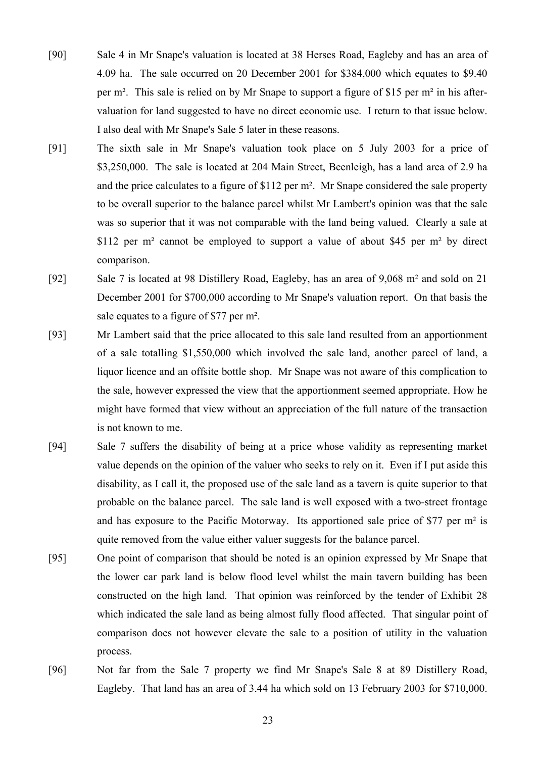- [90] Sale 4 in Mr Snape's valuation is located at 38 Herses Road, Eagleby and has an area of 4.09 ha. The sale occurred on 20 December 2001 for \$384,000 which equates to \$9.40 per m². This sale is relied on by Mr Snape to support a figure of \$15 per m² in his aftervaluation for land suggested to have no direct economic use. I return to that issue below. I also deal with Mr Snape's Sale 5 later in these reasons.
- [91] The sixth sale in Mr Snape's valuation took place on 5 July 2003 for a price of \$3,250,000. The sale is located at 204 Main Street, Beenleigh, has a land area of 2.9 ha and the price calculates to a figure of \$112 per m². Mr Snape considered the sale property to be overall superior to the balance parcel whilst Mr Lambert's opinion was that the sale was so superior that it was not comparable with the land being valued. Clearly a sale at \$112 per m<sup>2</sup> cannot be employed to support a value of about \$45 per m<sup>2</sup> by direct comparison.
- [92] Sale 7 is located at 98 Distillery Road, Eagleby, has an area of 9,068 m² and sold on 21 December 2001 for \$700,000 according to Mr Snape's valuation report. On that basis the sale equates to a figure of \$77 per m².
- [93] Mr Lambert said that the price allocated to this sale land resulted from an apportionment of a sale totalling \$1,550,000 which involved the sale land, another parcel of land, a liquor licence and an offsite bottle shop. Mr Snape was not aware of this complication to the sale, however expressed the view that the apportionment seemed appropriate. How he might have formed that view without an appreciation of the full nature of the transaction is not known to me.
- [94] Sale 7 suffers the disability of being at a price whose validity as representing market value depends on the opinion of the valuer who seeks to rely on it. Even if I put aside this disability, as I call it, the proposed use of the sale land as a tavern is quite superior to that probable on the balance parcel. The sale land is well exposed with a two-street frontage and has exposure to the Pacific Motorway. Its apportioned sale price of \$77 per m² is quite removed from the value either valuer suggests for the balance parcel.
- [95] One point of comparison that should be noted is an opinion expressed by Mr Snape that the lower car park land is below flood level whilst the main tavern building has been constructed on the high land. That opinion was reinforced by the tender of Exhibit 28 which indicated the sale land as being almost fully flood affected. That singular point of comparison does not however elevate the sale to a position of utility in the valuation process.
- [96] Not far from the Sale 7 property we find Mr Snape's Sale 8 at 89 Distillery Road, Eagleby. That land has an area of 3.44 ha which sold on 13 February 2003 for \$710,000.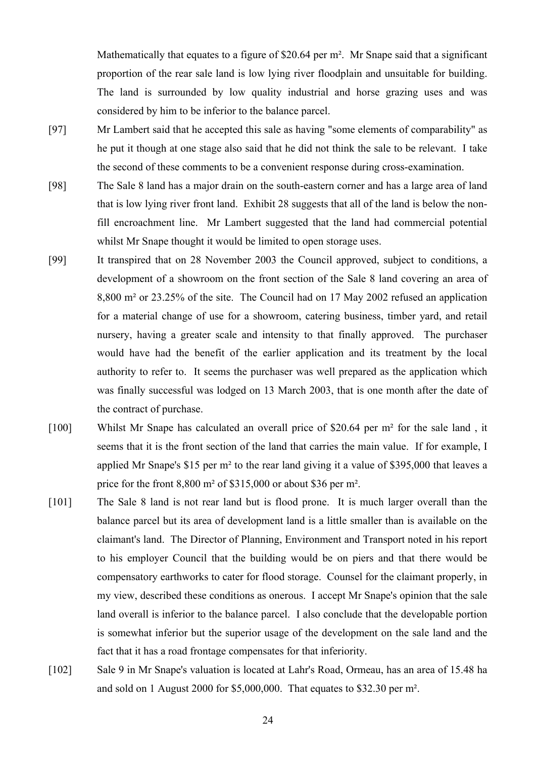Mathematically that equates to a figure of \$20.64 per m<sup>2</sup>. Mr Snape said that a significant proportion of the rear sale land is low lying river floodplain and unsuitable for building. The land is surrounded by low quality industrial and horse grazing uses and was considered by him to be inferior to the balance parcel.

- [97] Mr Lambert said that he accepted this sale as having "some elements of comparability" as he put it though at one stage also said that he did not think the sale to be relevant. I take the second of these comments to be a convenient response during cross-examination.
- [98] The Sale 8 land has a major drain on the south-eastern corner and has a large area of land that is low lying river front land. Exhibit 28 suggests that all of the land is below the nonfill encroachment line. Mr Lambert suggested that the land had commercial potential whilst Mr Snape thought it would be limited to open storage uses.
- [99] It transpired that on 28 November 2003 the Council approved, subject to conditions, a development of a showroom on the front section of the Sale 8 land covering an area of 8,800 m² or 23.25% of the site. The Council had on 17 May 2002 refused an application for a material change of use for a showroom, catering business, timber yard, and retail nursery, having a greater scale and intensity to that finally approved. The purchaser would have had the benefit of the earlier application and its treatment by the local authority to refer to. It seems the purchaser was well prepared as the application which was finally successful was lodged on 13 March 2003, that is one month after the date of the contract of purchase.
- [100] Whilst Mr Snape has calculated an overall price of \$20.64 per m² for the sale land , it seems that it is the front section of the land that carries the main value. If for example, I applied Mr Snape's \$15 per m² to the rear land giving it a value of \$395,000 that leaves a price for the front 8,800 m² of \$315,000 or about \$36 per m².
- [101] The Sale 8 land is not rear land but is flood prone. It is much larger overall than the balance parcel but its area of development land is a little smaller than is available on the claimant's land. The Director of Planning, Environment and Transport noted in his report to his employer Council that the building would be on piers and that there would be compensatory earthworks to cater for flood storage. Counsel for the claimant properly, in my view, described these conditions as onerous. I accept Mr Snape's opinion that the sale land overall is inferior to the balance parcel. I also conclude that the developable portion is somewhat inferior but the superior usage of the development on the sale land and the fact that it has a road frontage compensates for that inferiority.
- [102] Sale 9 in Mr Snape's valuation is located at Lahr's Road, Ormeau, has an area of 15.48 ha and sold on 1 August 2000 for \$5,000,000. That equates to \$32.30 per m².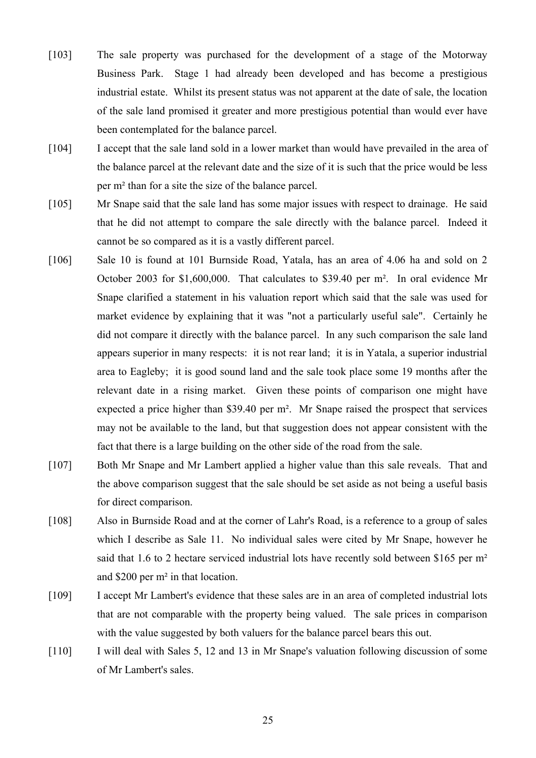- [103] The sale property was purchased for the development of a stage of the Motorway Business Park. Stage 1 had already been developed and has become a prestigious industrial estate. Whilst its present status was not apparent at the date of sale, the location of the sale land promised it greater and more prestigious potential than would ever have been contemplated for the balance parcel.
- [104] I accept that the sale land sold in a lower market than would have prevailed in the area of the balance parcel at the relevant date and the size of it is such that the price would be less per m² than for a site the size of the balance parcel.
- [105] Mr Snape said that the sale land has some major issues with respect to drainage. He said that he did not attempt to compare the sale directly with the balance parcel. Indeed it cannot be so compared as it is a vastly different parcel.
- [106] Sale 10 is found at 101 Burnside Road, Yatala, has an area of 4.06 ha and sold on 2 October 2003 for \$1,600,000. That calculates to \$39.40 per m². In oral evidence Mr Snape clarified a statement in his valuation report which said that the sale was used for market evidence by explaining that it was "not a particularly useful sale". Certainly he did not compare it directly with the balance parcel. In any such comparison the sale land appears superior in many respects: it is not rear land; it is in Yatala, a superior industrial area to Eagleby; it is good sound land and the sale took place some 19 months after the relevant date in a rising market. Given these points of comparison one might have expected a price higher than \$39.40 per m². Mr Snape raised the prospect that services may not be available to the land, but that suggestion does not appear consistent with the fact that there is a large building on the other side of the road from the sale.
- [107] Both Mr Snape and Mr Lambert applied a higher value than this sale reveals. That and the above comparison suggest that the sale should be set aside as not being a useful basis for direct comparison.
- [108] Also in Burnside Road and at the corner of Lahr's Road, is a reference to a group of sales which I describe as Sale 11. No individual sales were cited by Mr Snape, however he said that 1.6 to 2 hectare serviced industrial lots have recently sold between \$165 per m<sup>2</sup> and \$200 per m² in that location.
- [109] I accept Mr Lambert's evidence that these sales are in an area of completed industrial lots that are not comparable with the property being valued. The sale prices in comparison with the value suggested by both valuers for the balance parcel bears this out.
- [110] I will deal with Sales 5, 12 and 13 in Mr Snape's valuation following discussion of some of Mr Lambert's sales.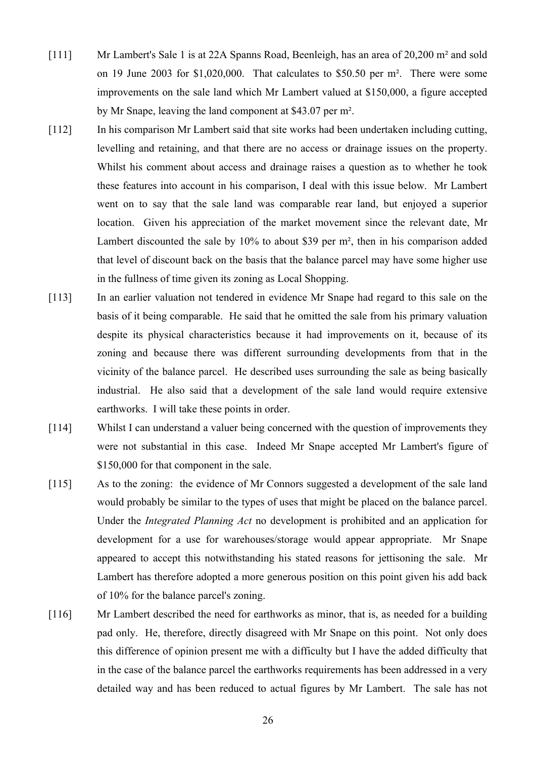- [111] Mr Lambert's Sale 1 is at 22A Spanns Road, Beenleigh, has an area of 20,200 m² and sold on 19 June 2003 for \$1,020,000. That calculates to \$50.50 per m². There were some improvements on the sale land which Mr Lambert valued at \$150,000, a figure accepted by Mr Snape, leaving the land component at \$43.07 per m².
- [112] In his comparison Mr Lambert said that site works had been undertaken including cutting, levelling and retaining, and that there are no access or drainage issues on the property. Whilst his comment about access and drainage raises a question as to whether he took these features into account in his comparison, I deal with this issue below. Mr Lambert went on to say that the sale land was comparable rear land, but enjoyed a superior location. Given his appreciation of the market movement since the relevant date, Mr Lambert discounted the sale by 10% to about \$39 per m², then in his comparison added that level of discount back on the basis that the balance parcel may have some higher use in the fullness of time given its zoning as Local Shopping.
- [113] In an earlier valuation not tendered in evidence Mr Snape had regard to this sale on the basis of it being comparable. He said that he omitted the sale from his primary valuation despite its physical characteristics because it had improvements on it, because of its zoning and because there was different surrounding developments from that in the vicinity of the balance parcel. He described uses surrounding the sale as being basically industrial. He also said that a development of the sale land would require extensive earthworks. I will take these points in order.
- [114] Whilst I can understand a valuer being concerned with the question of improvements they were not substantial in this case. Indeed Mr Snape accepted Mr Lambert's figure of \$150,000 for that component in the sale.
- [115] As to the zoning: the evidence of Mr Connors suggested a development of the sale land would probably be similar to the types of uses that might be placed on the balance parcel. Under the *Integrated Planning Act* no development is prohibited and an application for development for a use for warehouses/storage would appear appropriate. Mr Snape appeared to accept this notwithstanding his stated reasons for jettisoning the sale. Mr Lambert has therefore adopted a more generous position on this point given his add back of 10% for the balance parcel's zoning.
- [116] Mr Lambert described the need for earthworks as minor, that is, as needed for a building pad only. He, therefore, directly disagreed with Mr Snape on this point. Not only does this difference of opinion present me with a difficulty but I have the added difficulty that in the case of the balance parcel the earthworks requirements has been addressed in a very detailed way and has been reduced to actual figures by Mr Lambert. The sale has not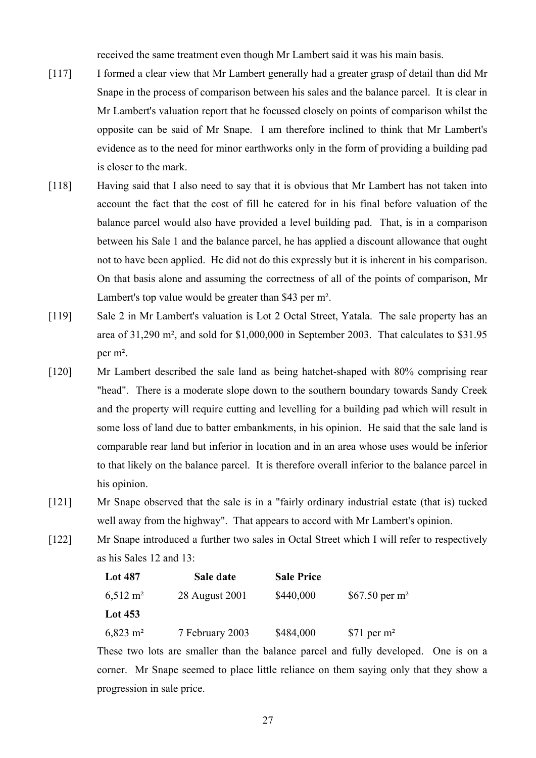received the same treatment even though Mr Lambert said it was his main basis.

- [117] I formed a clear view that Mr Lambert generally had a greater grasp of detail than did Mr Snape in the process of comparison between his sales and the balance parcel. It is clear in Mr Lambert's valuation report that he focussed closely on points of comparison whilst the opposite can be said of Mr Snape. I am therefore inclined to think that Mr Lambert's evidence as to the need for minor earthworks only in the form of providing a building pad is closer to the mark.
- [118] Having said that I also need to say that it is obvious that Mr Lambert has not taken into account the fact that the cost of fill he catered for in his final before valuation of the balance parcel would also have provided a level building pad. That, is in a comparison between his Sale 1 and the balance parcel, he has applied a discount allowance that ought not to have been applied. He did not do this expressly but it is inherent in his comparison. On that basis alone and assuming the correctness of all of the points of comparison, Mr Lambert's top value would be greater than \$43 per m².
- [119] Sale 2 in Mr Lambert's valuation is Lot 2 Octal Street, Yatala. The sale property has an area of 31,290 m², and sold for \$1,000,000 in September 2003. That calculates to \$31.95 per m².
- [120] Mr Lambert described the sale land as being hatchet-shaped with 80% comprising rear "head". There is a moderate slope down to the southern boundary towards Sandy Creek and the property will require cutting and levelling for a building pad which will result in some loss of land due to batter embankments, in his opinion. He said that the sale land is comparable rear land but inferior in location and in an area whose uses would be inferior to that likely on the balance parcel. It is therefore overall inferior to the balance parcel in his opinion.
- [121] Mr Snape observed that the sale is in a "fairly ordinary industrial estate (that is) tucked well away from the highway". That appears to accord with Mr Lambert's opinion.
- [122] Mr Snape introduced a further two sales in Octal Street which I will refer to respectively as his Sales 12 and 13:

| <b>Lot 487</b>          | Sale date       | <b>Sale Price</b> |                            |
|-------------------------|-----------------|-------------------|----------------------------|
| $6,512 \text{ m}^2$     | 28 August 2001  | \$440,000         | \$67.50 per m <sup>2</sup> |
| Lot $453$               |                 |                   |                            |
| $6,823 \; \mathrm{m}^2$ | 7 February 2003 | \$484,000         | $$71$ per m <sup>2</sup>   |

These two lots are smaller than the balance parcel and fully developed. One is on a corner. Mr Snape seemed to place little reliance on them saying only that they show a progression in sale price.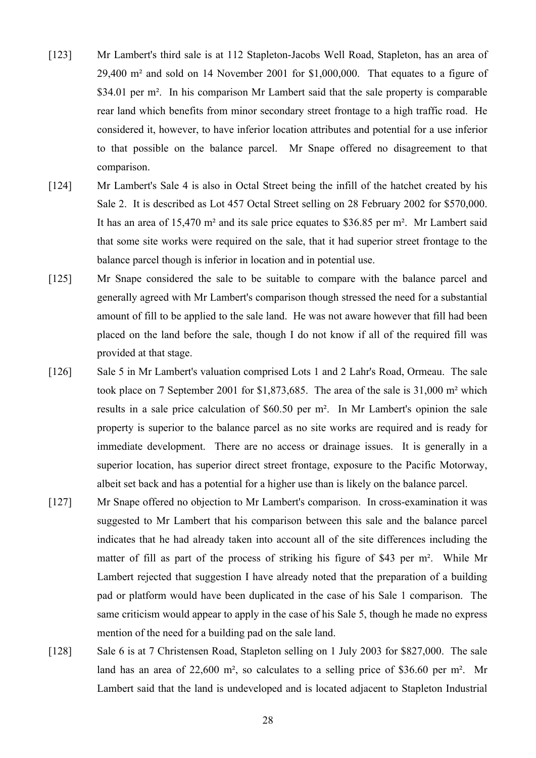- [123] Mr Lambert's third sale is at 112 Stapleton-Jacobs Well Road, Stapleton, has an area of 29,400 m² and sold on 14 November 2001 for \$1,000,000. That equates to a figure of \$34.01 per m<sup>2</sup>. In his comparison Mr Lambert said that the sale property is comparable rear land which benefits from minor secondary street frontage to a high traffic road. He considered it, however, to have inferior location attributes and potential for a use inferior to that possible on the balance parcel. Mr Snape offered no disagreement to that comparison.
- [124] Mr Lambert's Sale 4 is also in Octal Street being the infill of the hatchet created by his Sale 2. It is described as Lot 457 Octal Street selling on 28 February 2002 for \$570,000. It has an area of 15,470 m² and its sale price equates to \$36.85 per m². Mr Lambert said that some site works were required on the sale, that it had superior street frontage to the balance parcel though is inferior in location and in potential use.
- [125] Mr Snape considered the sale to be suitable to compare with the balance parcel and generally agreed with Mr Lambert's comparison though stressed the need for a substantial amount of fill to be applied to the sale land. He was not aware however that fill had been placed on the land before the sale, though I do not know if all of the required fill was provided at that stage.
- [126] Sale 5 in Mr Lambert's valuation comprised Lots 1 and 2 Lahr's Road, Ormeau. The sale took place on 7 September 2001 for \$1,873,685. The area of the sale is 31,000 m² which results in a sale price calculation of \$60.50 per m². In Mr Lambert's opinion the sale property is superior to the balance parcel as no site works are required and is ready for immediate development. There are no access or drainage issues. It is generally in a superior location, has superior direct street frontage, exposure to the Pacific Motorway, albeit set back and has a potential for a higher use than is likely on the balance parcel.
- [127] Mr Snape offered no objection to Mr Lambert's comparison. In cross-examination it was suggested to Mr Lambert that his comparison between this sale and the balance parcel indicates that he had already taken into account all of the site differences including the matter of fill as part of the process of striking his figure of \$43 per m². While Mr Lambert rejected that suggestion I have already noted that the preparation of a building pad or platform would have been duplicated in the case of his Sale 1 comparison. The same criticism would appear to apply in the case of his Sale 5, though he made no express mention of the need for a building pad on the sale land.
- [128] Sale 6 is at 7 Christensen Road, Stapleton selling on 1 July 2003 for \$827,000. The sale land has an area of 22,600 m², so calculates to a selling price of \$36.60 per m². Mr Lambert said that the land is undeveloped and is located adjacent to Stapleton Industrial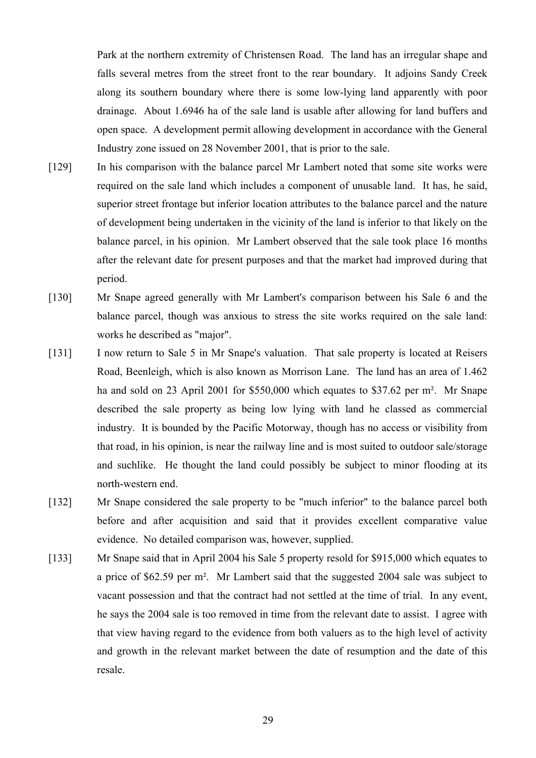Park at the northern extremity of Christensen Road. The land has an irregular shape and falls several metres from the street front to the rear boundary. It adjoins Sandy Creek along its southern boundary where there is some low-lying land apparently with poor drainage. About 1.6946 ha of the sale land is usable after allowing for land buffers and open space. A development permit allowing development in accordance with the General Industry zone issued on 28 November 2001, that is prior to the sale.

- [129] In his comparison with the balance parcel Mr Lambert noted that some site works were required on the sale land which includes a component of unusable land. It has, he said, superior street frontage but inferior location attributes to the balance parcel and the nature of development being undertaken in the vicinity of the land is inferior to that likely on the balance parcel, in his opinion. Mr Lambert observed that the sale took place 16 months after the relevant date for present purposes and that the market had improved during that period.
- [130] Mr Snape agreed generally with Mr Lambert's comparison between his Sale 6 and the balance parcel, though was anxious to stress the site works required on the sale land: works he described as "major".
- [131] I now return to Sale 5 in Mr Snape's valuation. That sale property is located at Reisers Road, Beenleigh, which is also known as Morrison Lane. The land has an area of 1.462 ha and sold on 23 April 2001 for \$550,000 which equates to \$37.62 per m². Mr Snape described the sale property as being low lying with land he classed as commercial industry. It is bounded by the Pacific Motorway, though has no access or visibility from that road, in his opinion, is near the railway line and is most suited to outdoor sale/storage and suchlike. He thought the land could possibly be subject to minor flooding at its north-western end.
- [132] Mr Snape considered the sale property to be "much inferior" to the balance parcel both before and after acquisition and said that it provides excellent comparative value evidence. No detailed comparison was, however, supplied.
- [133] Mr Snape said that in April 2004 his Sale 5 property resold for \$915,000 which equates to a price of \$62.59 per m². Mr Lambert said that the suggested 2004 sale was subject to vacant possession and that the contract had not settled at the time of trial. In any event, he says the 2004 sale is too removed in time from the relevant date to assist. I agree with that view having regard to the evidence from both valuers as to the high level of activity and growth in the relevant market between the date of resumption and the date of this resale.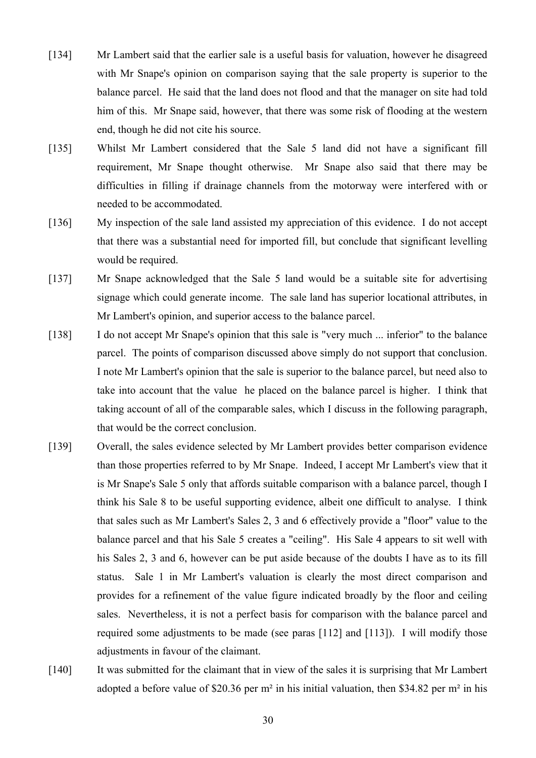- [134] Mr Lambert said that the earlier sale is a useful basis for valuation, however he disagreed with Mr Snape's opinion on comparison saying that the sale property is superior to the balance parcel. He said that the land does not flood and that the manager on site had told him of this. Mr Snape said, however, that there was some risk of flooding at the western end, though he did not cite his source.
- [135] Whilst Mr Lambert considered that the Sale 5 land did not have a significant fill requirement, Mr Snape thought otherwise. Mr Snape also said that there may be difficulties in filling if drainage channels from the motorway were interfered with or needed to be accommodated.
- [136] My inspection of the sale land assisted my appreciation of this evidence. I do not accept that there was a substantial need for imported fill, but conclude that significant levelling would be required.
- [137] Mr Snape acknowledged that the Sale 5 land would be a suitable site for advertising signage which could generate income. The sale land has superior locational attributes, in Mr Lambert's opinion, and superior access to the balance parcel.
- [138] I do not accept Mr Snape's opinion that this sale is "very much ... inferior" to the balance parcel. The points of comparison discussed above simply do not support that conclusion. I note Mr Lambert's opinion that the sale is superior to the balance parcel, but need also to take into account that the value he placed on the balance parcel is higher. I think that taking account of all of the comparable sales, which I discuss in the following paragraph, that would be the correct conclusion.
- [139] Overall, the sales evidence selected by Mr Lambert provides better comparison evidence than those properties referred to by Mr Snape. Indeed, I accept Mr Lambert's view that it is Mr Snape's Sale 5 only that affords suitable comparison with a balance parcel, though I think his Sale 8 to be useful supporting evidence, albeit one difficult to analyse. I think that sales such as Mr Lambert's Sales 2, 3 and 6 effectively provide a "floor" value to the balance parcel and that his Sale 5 creates a "ceiling". His Sale 4 appears to sit well with his Sales 2, 3 and 6, however can be put aside because of the doubts I have as to its fill status. Sale 1 in Mr Lambert's valuation is clearly the most direct comparison and provides for a refinement of the value figure indicated broadly by the floor and ceiling sales. Nevertheless, it is not a perfect basis for comparison with the balance parcel and required some adjustments to be made (see paras [112] and [113]). I will modify those adjustments in favour of the claimant.
- [140] It was submitted for the claimant that in view of the sales it is surprising that Mr Lambert adopted a before value of \$20.36 per m² in his initial valuation, then \$34.82 per m² in his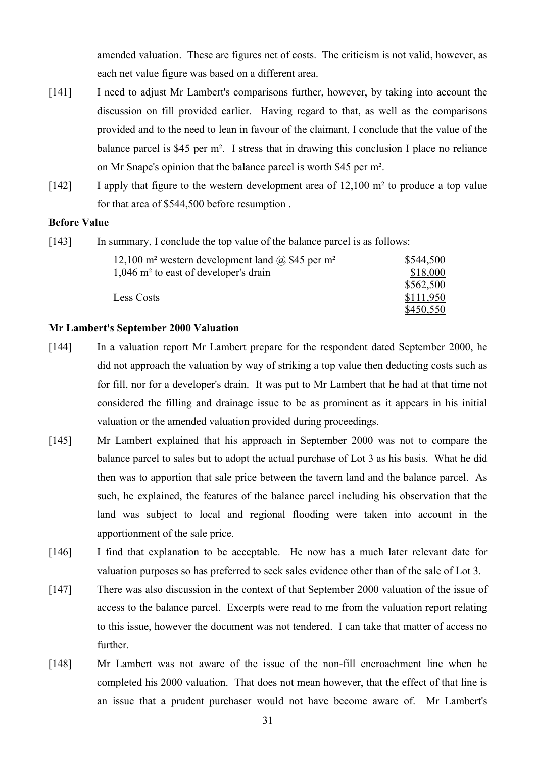amended valuation. These are figures net of costs. The criticism is not valid, however, as each net value figure was based on a different area.

- [141] I need to adjust Mr Lambert's comparisons further, however, by taking into account the discussion on fill provided earlier. Having regard to that, as well as the comparisons provided and to the need to lean in favour of the claimant, I conclude that the value of the balance parcel is \$45 per m². I stress that in drawing this conclusion I place no reliance on Mr Snape's opinion that the balance parcel is worth \$45 per m².
- [142] I apply that figure to the western development area of 12,100 m<sup>2</sup> to produce a top value for that area of \$544,500 before resumption .

# **Before Value**

[143] In summary, I conclude the top value of the balance parcel is as follows:

| 12,100 m <sup>2</sup> western development land $\omega$ \$45 per m <sup>2</sup> | \$544,500 |
|---------------------------------------------------------------------------------|-----------|
| $1,046$ m <sup>2</sup> to east of developer's drain                             | \$18,000  |
|                                                                                 | \$562,500 |
| Less Costs                                                                      | \$111,950 |
|                                                                                 | \$450,550 |

# **Mr Lambert's September 2000 Valuation**

- [144] In a valuation report Mr Lambert prepare for the respondent dated September 2000, he did not approach the valuation by way of striking a top value then deducting costs such as for fill, nor for a developer's drain. It was put to Mr Lambert that he had at that time not considered the filling and drainage issue to be as prominent as it appears in his initial valuation or the amended valuation provided during proceedings.
- [145] Mr Lambert explained that his approach in September 2000 was not to compare the balance parcel to sales but to adopt the actual purchase of Lot 3 as his basis. What he did then was to apportion that sale price between the tavern land and the balance parcel. As such, he explained, the features of the balance parcel including his observation that the land was subject to local and regional flooding were taken into account in the apportionment of the sale price.
- [146] I find that explanation to be acceptable. He now has a much later relevant date for valuation purposes so has preferred to seek sales evidence other than of the sale of Lot 3.
- [147] There was also discussion in the context of that September 2000 valuation of the issue of access to the balance parcel. Excerpts were read to me from the valuation report relating to this issue, however the document was not tendered. I can take that matter of access no further.
- [148] Mr Lambert was not aware of the issue of the non-fill encroachment line when he completed his 2000 valuation. That does not mean however, that the effect of that line is an issue that a prudent purchaser would not have become aware of. Mr Lambert's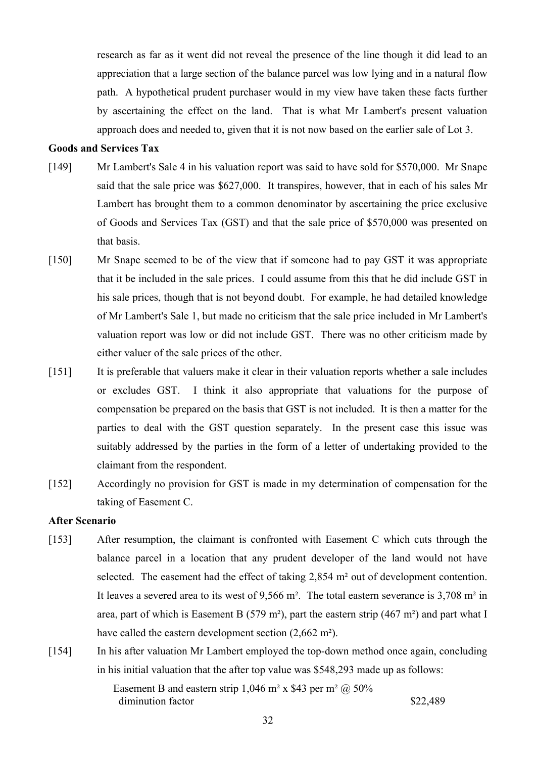research as far as it went did not reveal the presence of the line though it did lead to an appreciation that a large section of the balance parcel was low lying and in a natural flow path. A hypothetical prudent purchaser would in my view have taken these facts further by ascertaining the effect on the land. That is what Mr Lambert's present valuation approach does and needed to, given that it is not now based on the earlier sale of Lot 3.

# **Goods and Services Tax**

- [149] Mr Lambert's Sale 4 in his valuation report was said to have sold for \$570,000. Mr Snape said that the sale price was \$627,000. It transpires, however, that in each of his sales Mr Lambert has brought them to a common denominator by ascertaining the price exclusive of Goods and Services Tax (GST) and that the sale price of \$570,000 was presented on that basis.
- [150] Mr Snape seemed to be of the view that if someone had to pay GST it was appropriate that it be included in the sale prices. I could assume from this that he did include GST in his sale prices, though that is not beyond doubt. For example, he had detailed knowledge of Mr Lambert's Sale 1, but made no criticism that the sale price included in Mr Lambert's valuation report was low or did not include GST. There was no other criticism made by either valuer of the sale prices of the other.
- [151] It is preferable that valuers make it clear in their valuation reports whether a sale includes or excludes GST. I think it also appropriate that valuations for the purpose of compensation be prepared on the basis that GST is not included. It is then a matter for the parties to deal with the GST question separately. In the present case this issue was suitably addressed by the parties in the form of a letter of undertaking provided to the claimant from the respondent.
- [152] Accordingly no provision for GST is made in my determination of compensation for the taking of Easement C.

# **After Scenario**

- [153] After resumption, the claimant is confronted with Easement C which cuts through the balance parcel in a location that any prudent developer of the land would not have selected. The easement had the effect of taking 2,854 m² out of development contention. It leaves a severed area to its west of 9,566 m². The total eastern severance is 3,708 m² in area, part of which is Easement B (579 m<sup>2</sup>), part the eastern strip (467 m<sup>2</sup>) and part what I have called the eastern development section (2,662 m<sup>2</sup>).
- [154] In his after valuation Mr Lambert employed the top-down method once again, concluding in his initial valuation that the after top value was \$548,293 made up as follows:

Easement B and eastern strip 1,046 m<sup>2</sup> x \$43 per m<sup>2</sup>  $\omega$  50% diminution factor  $\frac{$22,489}{2000}$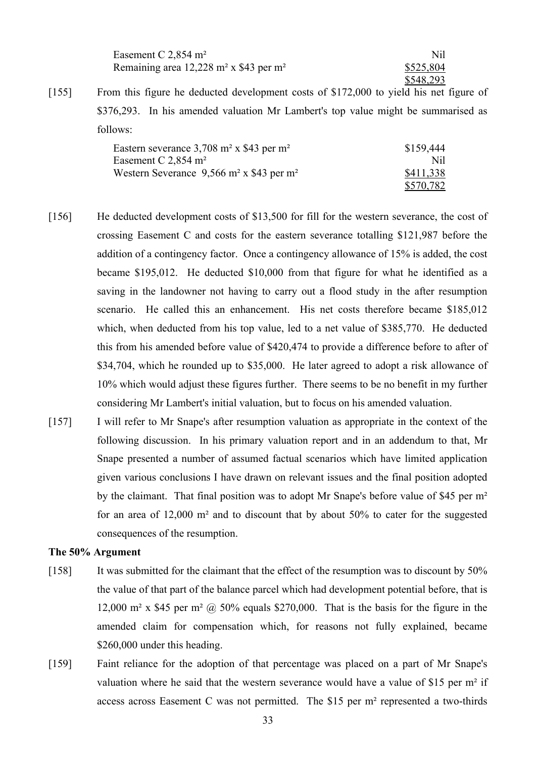| Easement C $2,854$ m <sup>2</sup>                                | Nil       |
|------------------------------------------------------------------|-----------|
| Remaining area $12,228$ m <sup>2</sup> x \$43 per m <sup>2</sup> | \$525,804 |
|                                                                  | \$548,293 |

[155] From this figure he deducted development costs of \$172,000 to yield his net figure of \$376,293. In his amended valuation Mr Lambert's top value might be summarised as follows:

| Eastern severance $3,708$ m <sup>2</sup> x \$43 per m <sup>2</sup> | \$159,444 |
|--------------------------------------------------------------------|-----------|
| Easement C $2,854$ m <sup>2</sup>                                  | Nil       |
| Western Severance $9,566$ m <sup>2</sup> x \$43 per m <sup>2</sup> | \$411,338 |
|                                                                    | \$570,782 |

- [156] He deducted development costs of \$13,500 for fill for the western severance, the cost of crossing Easement C and costs for the eastern severance totalling \$121,987 before the addition of a contingency factor. Once a contingency allowance of 15% is added, the cost became \$195,012. He deducted \$10,000 from that figure for what he identified as a saving in the landowner not having to carry out a flood study in the after resumption scenario. He called this an enhancement. His net costs therefore became \$185,012 which, when deducted from his top value, led to a net value of \$385,770. He deducted this from his amended before value of \$420,474 to provide a difference before to after of \$34,704, which he rounded up to \$35,000. He later agreed to adopt a risk allowance of 10% which would adjust these figures further. There seems to be no benefit in my further considering Mr Lambert's initial valuation, but to focus on his amended valuation.
- [157] I will refer to Mr Snape's after resumption valuation as appropriate in the context of the following discussion. In his primary valuation report and in an addendum to that, Mr Snape presented a number of assumed factual scenarios which have limited application given various conclusions I have drawn on relevant issues and the final position adopted by the claimant. That final position was to adopt Mr Snape's before value of \$45 per m² for an area of 12,000 m² and to discount that by about 50% to cater for the suggested consequences of the resumption.

# **The 50% Argument**

- [158] It was submitted for the claimant that the effect of the resumption was to discount by 50% the value of that part of the balance parcel which had development potential before, that is 12,000 m<sup>2</sup> x \$45 per m<sup>2</sup> @ 50% equals \$270,000. That is the basis for the figure in the amended claim for compensation which, for reasons not fully explained, became \$260,000 under this heading.
- [159] Faint reliance for the adoption of that percentage was placed on a part of Mr Snape's valuation where he said that the western severance would have a value of \$15 per m² if access across Easement C was not permitted. The \$15 per m² represented a two-thirds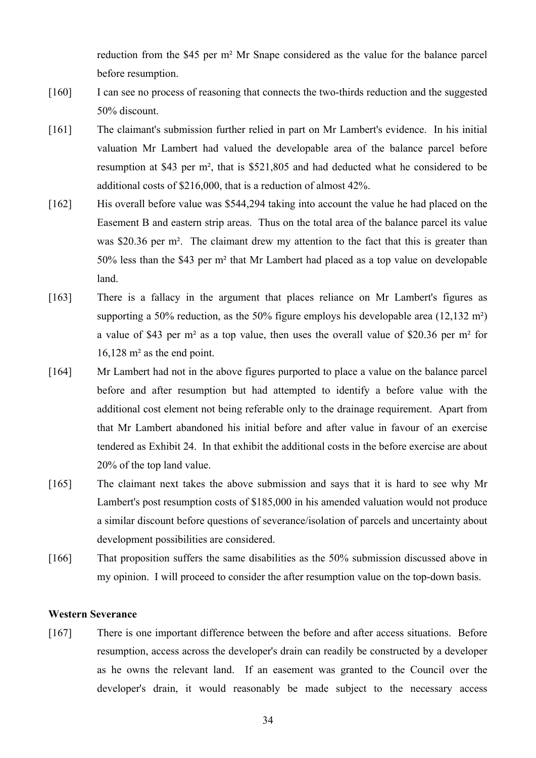reduction from the \$45 per m² Mr Snape considered as the value for the balance parcel before resumption.

- [160] I can see no process of reasoning that connects the two-thirds reduction and the suggested 50% discount.
- [161] The claimant's submission further relied in part on Mr Lambert's evidence. In his initial valuation Mr Lambert had valued the developable area of the balance parcel before resumption at \$43 per m², that is \$521,805 and had deducted what he considered to be additional costs of \$216,000, that is a reduction of almost 42%.
- [162] His overall before value was \$544,294 taking into account the value he had placed on the Easement B and eastern strip areas. Thus on the total area of the balance parcel its value was \$20.36 per m<sup>2</sup>. The claimant drew my attention to the fact that this is greater than 50% less than the \$43 per m² that Mr Lambert had placed as a top value on developable land.
- [163] There is a fallacy in the argument that places reliance on Mr Lambert's figures as supporting a 50% reduction, as the 50% figure employs his developable area (12,132 m²) a value of \$43 per m² as a top value, then uses the overall value of \$20.36 per m² for 16,128 m² as the end point.
- [164] Mr Lambert had not in the above figures purported to place a value on the balance parcel before and after resumption but had attempted to identify a before value with the additional cost element not being referable only to the drainage requirement. Apart from that Mr Lambert abandoned his initial before and after value in favour of an exercise tendered as Exhibit 24. In that exhibit the additional costs in the before exercise are about 20% of the top land value.
- [165] The claimant next takes the above submission and says that it is hard to see why Mr Lambert's post resumption costs of \$185,000 in his amended valuation would not produce a similar discount before questions of severance/isolation of parcels and uncertainty about development possibilities are considered.
- [166] That proposition suffers the same disabilities as the 50% submission discussed above in my opinion. I will proceed to consider the after resumption value on the top-down basis.

#### **Western Severance**

[167] There is one important difference between the before and after access situations. Before resumption, access across the developer's drain can readily be constructed by a developer as he owns the relevant land. If an easement was granted to the Council over the developer's drain, it would reasonably be made subject to the necessary access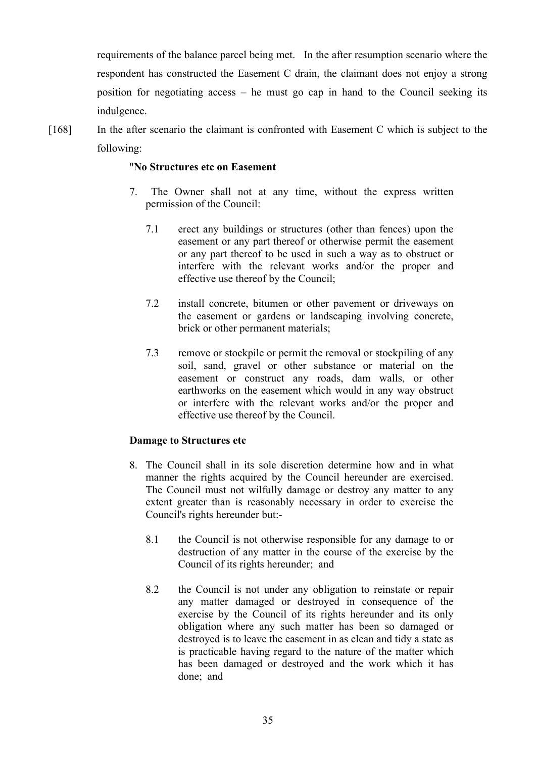requirements of the balance parcel being met. In the after resumption scenario where the respondent has constructed the Easement C drain, the claimant does not enjoy a strong position for negotiating access – he must go cap in hand to the Council seeking its indulgence.

[168] In the after scenario the claimant is confronted with Easement C which is subject to the following:

# "**No Structures etc on Easement**

- 7. The Owner shall not at any time, without the express written permission of the Council:
	- 7.1 erect any buildings or structures (other than fences) upon the easement or any part thereof or otherwise permit the easement or any part thereof to be used in such a way as to obstruct or interfere with the relevant works and/or the proper and effective use thereof by the Council;
	- 7.2 install concrete, bitumen or other pavement or driveways on the easement or gardens or landscaping involving concrete, brick or other permanent materials;
	- 7.3 remove or stockpile or permit the removal or stockpiling of any soil, sand, gravel or other substance or material on the easement or construct any roads, dam walls, or other earthworks on the easement which would in any way obstruct or interfere with the relevant works and/or the proper and effective use thereof by the Council.

# **Damage to Structures etc**

- 8. The Council shall in its sole discretion determine how and in what manner the rights acquired by the Council hereunder are exercised. The Council must not wilfully damage or destroy any matter to any extent greater than is reasonably necessary in order to exercise the Council's rights hereunder but:-
	- 8.1 the Council is not otherwise responsible for any damage to or destruction of any matter in the course of the exercise by the Council of its rights hereunder; and
	- 8.2 the Council is not under any obligation to reinstate or repair any matter damaged or destroyed in consequence of the exercise by the Council of its rights hereunder and its only obligation where any such matter has been so damaged or destroyed is to leave the easement in as clean and tidy a state as is practicable having regard to the nature of the matter which has been damaged or destroyed and the work which it has done; and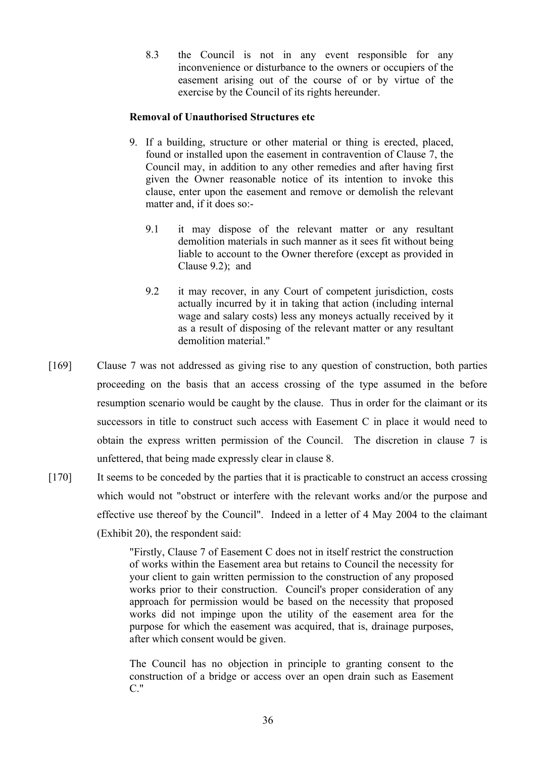8.3 the Council is not in any event responsible for any inconvenience or disturbance to the owners or occupiers of the easement arising out of the course of or by virtue of the exercise by the Council of its rights hereunder.

# **Removal of Unauthorised Structures etc**

- 9. If a building, structure or other material or thing is erected, placed, found or installed upon the easement in contravention of Clause 7, the Council may, in addition to any other remedies and after having first given the Owner reasonable notice of its intention to invoke this clause, enter upon the easement and remove or demolish the relevant matter and, if it does so:-
	- 9.1 it may dispose of the relevant matter or any resultant demolition materials in such manner as it sees fit without being liable to account to the Owner therefore (except as provided in Clause 9.2); and
	- 9.2 it may recover, in any Court of competent jurisdiction, costs actually incurred by it in taking that action (including internal wage and salary costs) less any moneys actually received by it as a result of disposing of the relevant matter or any resultant demolition material."
- [169] Clause 7 was not addressed as giving rise to any question of construction, both parties proceeding on the basis that an access crossing of the type assumed in the before resumption scenario would be caught by the clause. Thus in order for the claimant or its successors in title to construct such access with Easement C in place it would need to obtain the express written permission of the Council. The discretion in clause 7 is unfettered, that being made expressly clear in clause 8.
- [170] It seems to be conceded by the parties that it is practicable to construct an access crossing which would not "obstruct or interfere with the relevant works and/or the purpose and effective use thereof by the Council". Indeed in a letter of 4 May 2004 to the claimant (Exhibit 20), the respondent said:

"Firstly, Clause 7 of Easement C does not in itself restrict the construction of works within the Easement area but retains to Council the necessity for your client to gain written permission to the construction of any proposed works prior to their construction. Council's proper consideration of any approach for permission would be based on the necessity that proposed works did not impinge upon the utility of the easement area for the purpose for which the easement was acquired, that is, drainage purposes, after which consent would be given.

The Council has no objection in principle to granting consent to the construction of a bridge or access over an open drain such as Easement  $C$ ."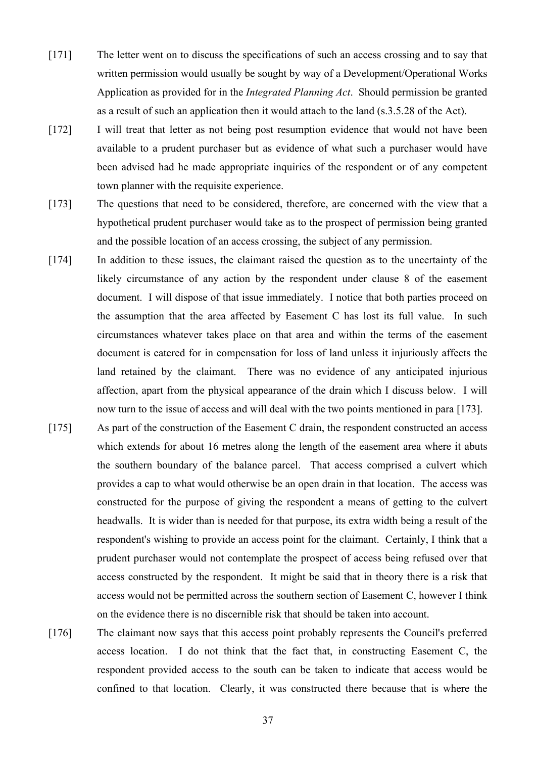- [171] The letter went on to discuss the specifications of such an access crossing and to say that written permission would usually be sought by way of a Development/Operational Works Application as provided for in the *Integrated Planning Act*. Should permission be granted as a result of such an application then it would attach to the land (s.3.5.28 of the Act).
- [172] I will treat that letter as not being post resumption evidence that would not have been available to a prudent purchaser but as evidence of what such a purchaser would have been advised had he made appropriate inquiries of the respondent or of any competent town planner with the requisite experience.
- [173] The questions that need to be considered, therefore, are concerned with the view that a hypothetical prudent purchaser would take as to the prospect of permission being granted and the possible location of an access crossing, the subject of any permission.
- [174] In addition to these issues, the claimant raised the question as to the uncertainty of the likely circumstance of any action by the respondent under clause 8 of the easement document. I will dispose of that issue immediately. I notice that both parties proceed on the assumption that the area affected by Easement C has lost its full value. In such circumstances whatever takes place on that area and within the terms of the easement document is catered for in compensation for loss of land unless it injuriously affects the land retained by the claimant. There was no evidence of any anticipated injurious affection, apart from the physical appearance of the drain which I discuss below. I will now turn to the issue of access and will deal with the two points mentioned in para [173].
- [175] As part of the construction of the Easement C drain, the respondent constructed an access which extends for about 16 metres along the length of the easement area where it abuts the southern boundary of the balance parcel. That access comprised a culvert which provides a cap to what would otherwise be an open drain in that location. The access was constructed for the purpose of giving the respondent a means of getting to the culvert headwalls. It is wider than is needed for that purpose, its extra width being a result of the respondent's wishing to provide an access point for the claimant. Certainly, I think that a prudent purchaser would not contemplate the prospect of access being refused over that access constructed by the respondent. It might be said that in theory there is a risk that access would not be permitted across the southern section of Easement C, however I think on the evidence there is no discernible risk that should be taken into account.
- [176] The claimant now says that this access point probably represents the Council's preferred access location. I do not think that the fact that, in constructing Easement C, the respondent provided access to the south can be taken to indicate that access would be confined to that location. Clearly, it was constructed there because that is where the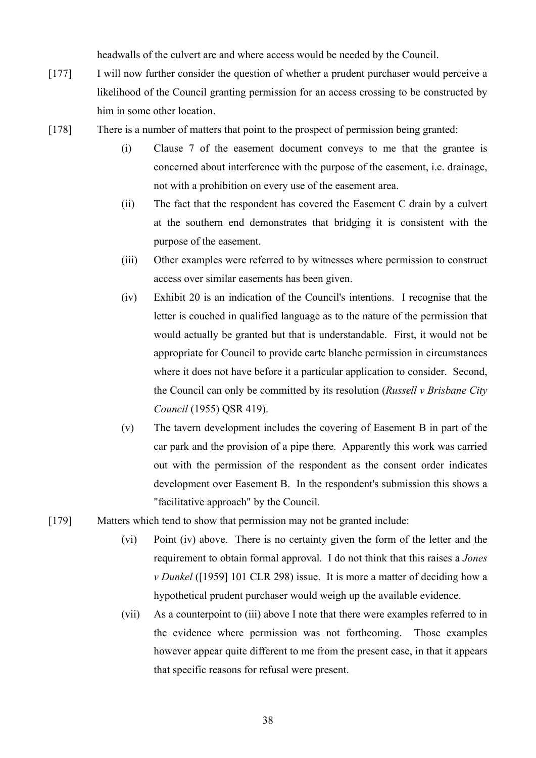headwalls of the culvert are and where access would be needed by the Council.

- [177] I will now further consider the question of whether a prudent purchaser would perceive a likelihood of the Council granting permission for an access crossing to be constructed by him in some other location.
- [178] There is a number of matters that point to the prospect of permission being granted:
	- (i) Clause 7 of the easement document conveys to me that the grantee is concerned about interference with the purpose of the easement, i.e. drainage, not with a prohibition on every use of the easement area.
	- (ii) The fact that the respondent has covered the Easement C drain by a culvert at the southern end demonstrates that bridging it is consistent with the purpose of the easement.
	- (iii) Other examples were referred to by witnesses where permission to construct access over similar easements has been given.
	- (iv) Exhibit 20 is an indication of the Council's intentions. I recognise that the letter is couched in qualified language as to the nature of the permission that would actually be granted but that is understandable. First, it would not be appropriate for Council to provide carte blanche permission in circumstances where it does not have before it a particular application to consider. Second, the Council can only be committed by its resolution (*Russell v Brisbane City Council* (1955) QSR 419).
	- (v) The tavern development includes the covering of Easement B in part of the car park and the provision of a pipe there. Apparently this work was carried out with the permission of the respondent as the consent order indicates development over Easement B. In the respondent's submission this shows a "facilitative approach" by the Council.
- [179] Matters which tend to show that permission may not be granted include:
	- (vi) Point (iv) above. There is no certainty given the form of the letter and the requirement to obtain formal approval. I do not think that this raises a *Jones v Dunkel* ([1959] 101 CLR 298) issue. It is more a matter of deciding how a hypothetical prudent purchaser would weigh up the available evidence.
	- (vii) As a counterpoint to (iii) above I note that there were examples referred to in the evidence where permission was not forthcoming. Those examples however appear quite different to me from the present case, in that it appears that specific reasons for refusal were present.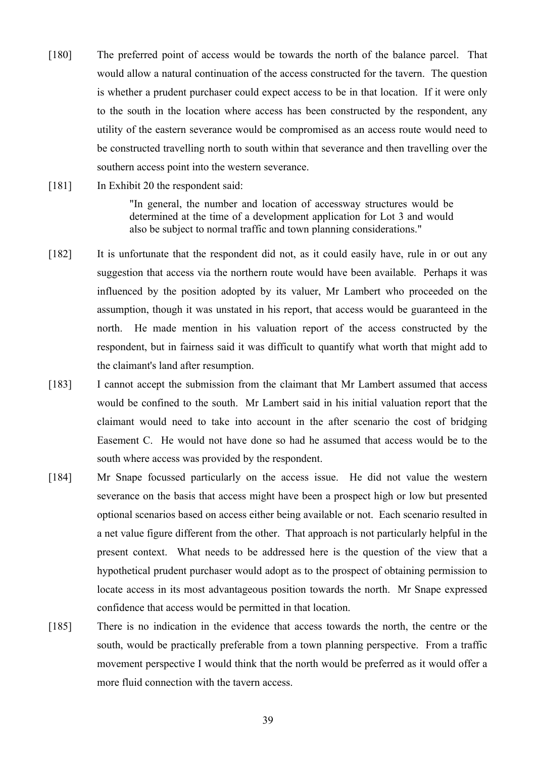- [180] The preferred point of access would be towards the north of the balance parcel. That would allow a natural continuation of the access constructed for the tavern. The question is whether a prudent purchaser could expect access to be in that location. If it were only to the south in the location where access has been constructed by the respondent, any utility of the eastern severance would be compromised as an access route would need to be constructed travelling north to south within that severance and then travelling over the southern access point into the western severance.
- [181] In Exhibit 20 the respondent said: "In general, the number and location of accessway structures would be determined at the time of a development application for Lot 3 and would also be subject to normal traffic and town planning considerations."
- [182] It is unfortunate that the respondent did not, as it could easily have, rule in or out any suggestion that access via the northern route would have been available. Perhaps it was influenced by the position adopted by its valuer, Mr Lambert who proceeded on the assumption, though it was unstated in his report, that access would be guaranteed in the north. He made mention in his valuation report of the access constructed by the respondent, but in fairness said it was difficult to quantify what worth that might add to the claimant's land after resumption.
- [183] I cannot accept the submission from the claimant that Mr Lambert assumed that access would be confined to the south. Mr Lambert said in his initial valuation report that the claimant would need to take into account in the after scenario the cost of bridging Easement C. He would not have done so had he assumed that access would be to the south where access was provided by the respondent.
- [184] Mr Snape focussed particularly on the access issue. He did not value the western severance on the basis that access might have been a prospect high or low but presented optional scenarios based on access either being available or not. Each scenario resulted in a net value figure different from the other. That approach is not particularly helpful in the present context. What needs to be addressed here is the question of the view that a hypothetical prudent purchaser would adopt as to the prospect of obtaining permission to locate access in its most advantageous position towards the north. Mr Snape expressed confidence that access would be permitted in that location.
- [185] There is no indication in the evidence that access towards the north, the centre or the south, would be practically preferable from a town planning perspective. From a traffic movement perspective I would think that the north would be preferred as it would offer a more fluid connection with the tavern access.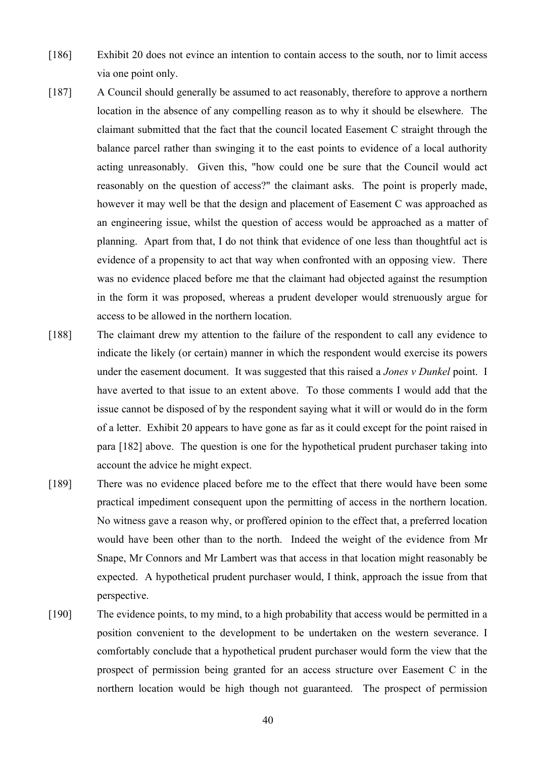- [186] Exhibit 20 does not evince an intention to contain access to the south, nor to limit access via one point only.
- [187] A Council should generally be assumed to act reasonably, therefore to approve a northern location in the absence of any compelling reason as to why it should be elsewhere. The claimant submitted that the fact that the council located Easement C straight through the balance parcel rather than swinging it to the east points to evidence of a local authority acting unreasonably. Given this, "how could one be sure that the Council would act reasonably on the question of access?" the claimant asks. The point is properly made, however it may well be that the design and placement of Easement C was approached as an engineering issue, whilst the question of access would be approached as a matter of planning. Apart from that, I do not think that evidence of one less than thoughtful act is evidence of a propensity to act that way when confronted with an opposing view. There was no evidence placed before me that the claimant had objected against the resumption in the form it was proposed, whereas a prudent developer would strenuously argue for access to be allowed in the northern location.
- [188] The claimant drew my attention to the failure of the respondent to call any evidence to indicate the likely (or certain) manner in which the respondent would exercise its powers under the easement document. It was suggested that this raised a *Jones v Dunkel* point. I have averted to that issue to an extent above. To those comments I would add that the issue cannot be disposed of by the respondent saying what it will or would do in the form of a letter. Exhibit 20 appears to have gone as far as it could except for the point raised in para [182] above. The question is one for the hypothetical prudent purchaser taking into account the advice he might expect.
- [189] There was no evidence placed before me to the effect that there would have been some practical impediment consequent upon the permitting of access in the northern location. No witness gave a reason why, or proffered opinion to the effect that, a preferred location would have been other than to the north. Indeed the weight of the evidence from Mr Snape, Mr Connors and Mr Lambert was that access in that location might reasonably be expected. A hypothetical prudent purchaser would, I think, approach the issue from that perspective.
- [190] The evidence points, to my mind, to a high probability that access would be permitted in a position convenient to the development to be undertaken on the western severance. I comfortably conclude that a hypothetical prudent purchaser would form the view that the prospect of permission being granted for an access structure over Easement C in the northern location would be high though not guaranteed. The prospect of permission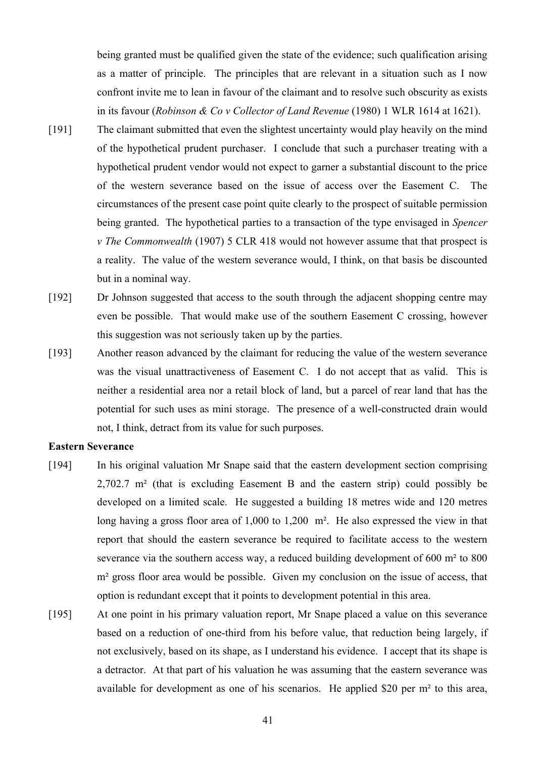being granted must be qualified given the state of the evidence; such qualification arising as a matter of principle. The principles that are relevant in a situation such as I now confront invite me to lean in favour of the claimant and to resolve such obscurity as exists in its favour (*Robinson & Co v Collector of Land Revenue* (1980) 1 WLR 1614 at 1621).

- [191] The claimant submitted that even the slightest uncertainty would play heavily on the mind of the hypothetical prudent purchaser. I conclude that such a purchaser treating with a hypothetical prudent vendor would not expect to garner a substantial discount to the price of the western severance based on the issue of access over the Easement C. The circumstances of the present case point quite clearly to the prospect of suitable permission being granted. The hypothetical parties to a transaction of the type envisaged in *Spencer v The Commonwealth* (1907) 5 CLR 418 would not however assume that that prospect is a reality. The value of the western severance would, I think, on that basis be discounted but in a nominal way.
- [192] Dr Johnson suggested that access to the south through the adjacent shopping centre may even be possible. That would make use of the southern Easement C crossing, however this suggestion was not seriously taken up by the parties.
- [193] Another reason advanced by the claimant for reducing the value of the western severance was the visual unattractiveness of Easement C. I do not accept that as valid. This is neither a residential area nor a retail block of land, but a parcel of rear land that has the potential for such uses as mini storage. The presence of a well-constructed drain would not, I think, detract from its value for such purposes.

#### **Eastern Severance**

- [194] In his original valuation Mr Snape said that the eastern development section comprising 2,702.7 m² (that is excluding Easement B and the eastern strip) could possibly be developed on a limited scale. He suggested a building 18 metres wide and 120 metres long having a gross floor area of 1,000 to 1,200 m<sup>2</sup>. He also expressed the view in that report that should the eastern severance be required to facilitate access to the western severance via the southern access way, a reduced building development of 600 m² to 800 m<sup>2</sup> gross floor area would be possible. Given my conclusion on the issue of access, that option is redundant except that it points to development potential in this area.
- [195] At one point in his primary valuation report, Mr Snape placed a value on this severance based on a reduction of one-third from his before value, that reduction being largely, if not exclusively, based on its shape, as I understand his evidence. I accept that its shape is a detractor. At that part of his valuation he was assuming that the eastern severance was available for development as one of his scenarios. He applied \$20 per m² to this area,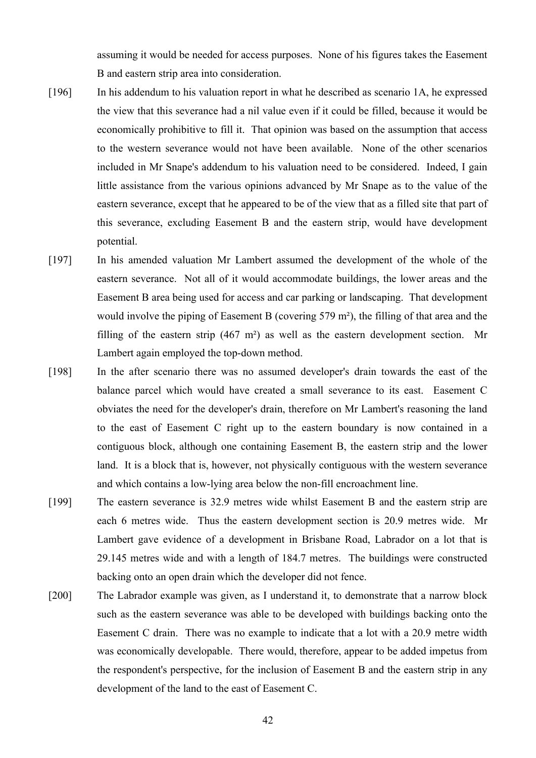assuming it would be needed for access purposes. None of his figures takes the Easement B and eastern strip area into consideration.

- [196] In his addendum to his valuation report in what he described as scenario 1A, he expressed the view that this severance had a nil value even if it could be filled, because it would be economically prohibitive to fill it. That opinion was based on the assumption that access to the western severance would not have been available. None of the other scenarios included in Mr Snape's addendum to his valuation need to be considered. Indeed, I gain little assistance from the various opinions advanced by Mr Snape as to the value of the eastern severance, except that he appeared to be of the view that as a filled site that part of this severance, excluding Easement B and the eastern strip, would have development potential.
- [197] In his amended valuation Mr Lambert assumed the development of the whole of the eastern severance. Not all of it would accommodate buildings, the lower areas and the Easement B area being used for access and car parking or landscaping. That development would involve the piping of Easement B (covering 579 m²), the filling of that area and the filling of the eastern strip  $(467 \text{ m}^2)$  as well as the eastern development section. Mr Lambert again employed the top-down method.
- [198] In the after scenario there was no assumed developer's drain towards the east of the balance parcel which would have created a small severance to its east. Easement C obviates the need for the developer's drain, therefore on Mr Lambert's reasoning the land to the east of Easement C right up to the eastern boundary is now contained in a contiguous block, although one containing Easement B, the eastern strip and the lower land. It is a block that is, however, not physically contiguous with the western severance and which contains a low-lying area below the non-fill encroachment line.
- [199] The eastern severance is 32.9 metres wide whilst Easement B and the eastern strip are each 6 metres wide. Thus the eastern development section is 20.9 metres wide. Mr Lambert gave evidence of a development in Brisbane Road, Labrador on a lot that is 29.145 metres wide and with a length of 184.7 metres. The buildings were constructed backing onto an open drain which the developer did not fence.
- [200] The Labrador example was given, as I understand it, to demonstrate that a narrow block such as the eastern severance was able to be developed with buildings backing onto the Easement C drain. There was no example to indicate that a lot with a 20.9 metre width was economically developable. There would, therefore, appear to be added impetus from the respondent's perspective, for the inclusion of Easement B and the eastern strip in any development of the land to the east of Easement C.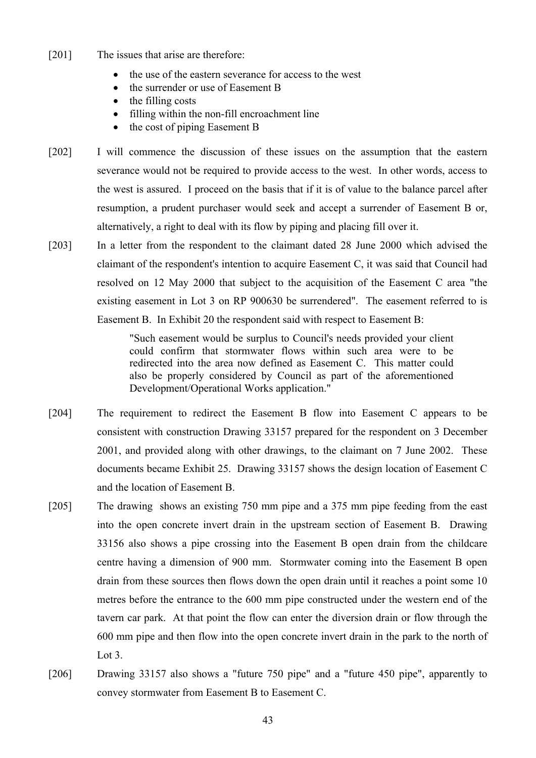- [201] The issues that arise are therefore:
	- the use of the eastern severance for access to the west
	- the surrender or use of Easement B
	- the filling costs
	- filling within the non-fill encroachment line
	- the cost of piping Easement B
- [202] I will commence the discussion of these issues on the assumption that the eastern severance would not be required to provide access to the west. In other words, access to the west is assured. I proceed on the basis that if it is of value to the balance parcel after resumption, a prudent purchaser would seek and accept a surrender of Easement B or, alternatively, a right to deal with its flow by piping and placing fill over it.
- [203] In a letter from the respondent to the claimant dated 28 June 2000 which advised the claimant of the respondent's intention to acquire Easement C, it was said that Council had resolved on 12 May 2000 that subject to the acquisition of the Easement C area "the existing easement in Lot 3 on RP 900630 be surrendered". The easement referred to is Easement B. In Exhibit 20 the respondent said with respect to Easement B:

"Such easement would be surplus to Council's needs provided your client could confirm that stormwater flows within such area were to be redirected into the area now defined as Easement C. This matter could also be properly considered by Council as part of the aforementioned Development/Operational Works application."

- [204] The requirement to redirect the Easement B flow into Easement C appears to be consistent with construction Drawing 33157 prepared for the respondent on 3 December 2001, and provided along with other drawings, to the claimant on 7 June 2002. These documents became Exhibit 25. Drawing 33157 shows the design location of Easement C and the location of Easement B.
- [205] The drawing shows an existing 750 mm pipe and a 375 mm pipe feeding from the east into the open concrete invert drain in the upstream section of Easement B. Drawing 33156 also shows a pipe crossing into the Easement B open drain from the childcare centre having a dimension of 900 mm. Stormwater coming into the Easement B open drain from these sources then flows down the open drain until it reaches a point some 10 metres before the entrance to the 600 mm pipe constructed under the western end of the tavern car park. At that point the flow can enter the diversion drain or flow through the 600 mm pipe and then flow into the open concrete invert drain in the park to the north of Lot 3.
- [206] Drawing 33157 also shows a "future 750 pipe" and a "future 450 pipe", apparently to convey stormwater from Easement B to Easement C.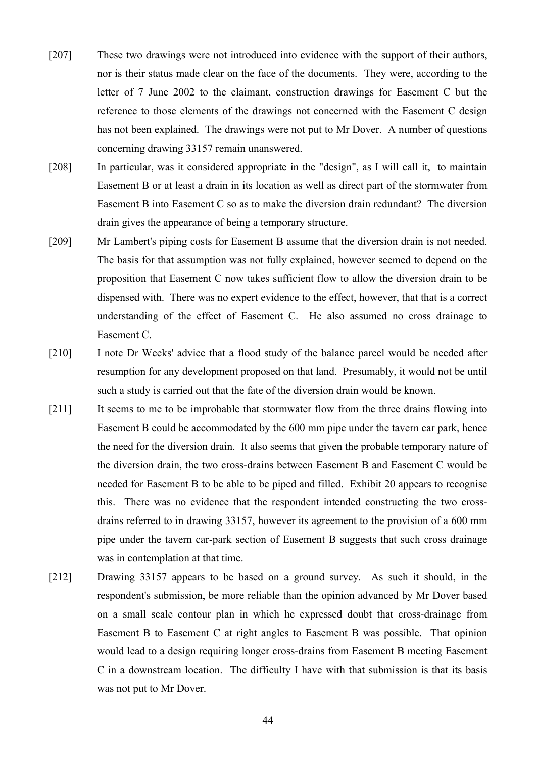- [207] These two drawings were not introduced into evidence with the support of their authors, nor is their status made clear on the face of the documents. They were, according to the letter of 7 June 2002 to the claimant, construction drawings for Easement C but the reference to those elements of the drawings not concerned with the Easement C design has not been explained. The drawings were not put to Mr Dover. A number of questions concerning drawing 33157 remain unanswered.
- [208] In particular, was it considered appropriate in the "design", as I will call it, to maintain Easement B or at least a drain in its location as well as direct part of the stormwater from Easement B into Easement C so as to make the diversion drain redundant? The diversion drain gives the appearance of being a temporary structure.
- [209] Mr Lambert's piping costs for Easement B assume that the diversion drain is not needed. The basis for that assumption was not fully explained, however seemed to depend on the proposition that Easement C now takes sufficient flow to allow the diversion drain to be dispensed with. There was no expert evidence to the effect, however, that that is a correct understanding of the effect of Easement C. He also assumed no cross drainage to Easement C.
- [210] I note Dr Weeks' advice that a flood study of the balance parcel would be needed after resumption for any development proposed on that land. Presumably, it would not be until such a study is carried out that the fate of the diversion drain would be known.
- [211] It seems to me to be improbable that stormwater flow from the three drains flowing into Easement B could be accommodated by the 600 mm pipe under the tavern car park, hence the need for the diversion drain. It also seems that given the probable temporary nature of the diversion drain, the two cross-drains between Easement B and Easement C would be needed for Easement B to be able to be piped and filled. Exhibit 20 appears to recognise this. There was no evidence that the respondent intended constructing the two crossdrains referred to in drawing 33157, however its agreement to the provision of a 600 mm pipe under the tavern car-park section of Easement B suggests that such cross drainage was in contemplation at that time.
- [212] Drawing 33157 appears to be based on a ground survey. As such it should, in the respondent's submission, be more reliable than the opinion advanced by Mr Dover based on a small scale contour plan in which he expressed doubt that cross-drainage from Easement B to Easement C at right angles to Easement B was possible. That opinion would lead to a design requiring longer cross-drains from Easement B meeting Easement C in a downstream location. The difficulty I have with that submission is that its basis was not put to Mr Dover.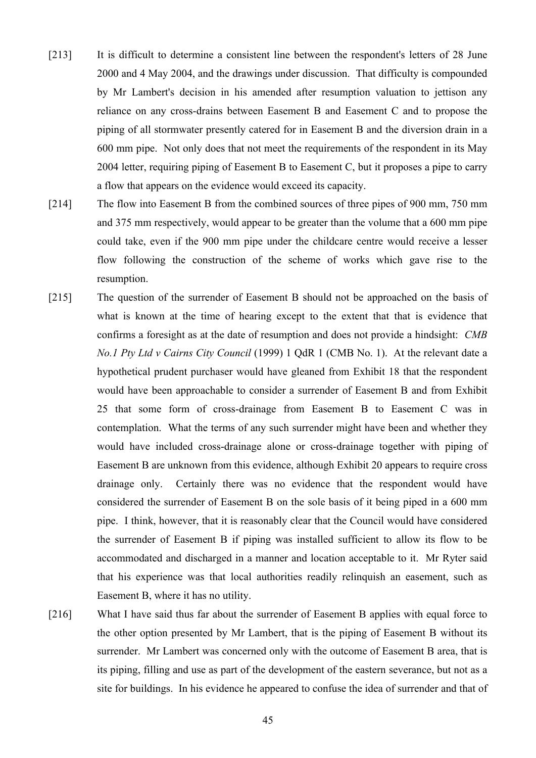- [213] It is difficult to determine a consistent line between the respondent's letters of 28 June 2000 and 4 May 2004, and the drawings under discussion. That difficulty is compounded by Mr Lambert's decision in his amended after resumption valuation to jettison any reliance on any cross-drains between Easement B and Easement C and to propose the piping of all stormwater presently catered for in Easement B and the diversion drain in a 600 mm pipe. Not only does that not meet the requirements of the respondent in its May 2004 letter, requiring piping of Easement B to Easement C, but it proposes a pipe to carry a flow that appears on the evidence would exceed its capacity.
- [214] The flow into Easement B from the combined sources of three pipes of 900 mm, 750 mm and 375 mm respectively, would appear to be greater than the volume that a 600 mm pipe could take, even if the 900 mm pipe under the childcare centre would receive a lesser flow following the construction of the scheme of works which gave rise to the resumption.
- [215] The question of the surrender of Easement B should not be approached on the basis of what is known at the time of hearing except to the extent that that is evidence that confirms a foresight as at the date of resumption and does not provide a hindsight: *CMB No.1 Pty Ltd v Cairns City Council* (1999) 1 QdR 1 (CMB No. 1). At the relevant date a hypothetical prudent purchaser would have gleaned from Exhibit 18 that the respondent would have been approachable to consider a surrender of Easement B and from Exhibit 25 that some form of cross-drainage from Easement B to Easement C was in contemplation. What the terms of any such surrender might have been and whether they would have included cross-drainage alone or cross-drainage together with piping of Easement B are unknown from this evidence, although Exhibit 20 appears to require cross drainage only. Certainly there was no evidence that the respondent would have considered the surrender of Easement B on the sole basis of it being piped in a 600 mm pipe. I think, however, that it is reasonably clear that the Council would have considered the surrender of Easement B if piping was installed sufficient to allow its flow to be accommodated and discharged in a manner and location acceptable to it. Mr Ryter said that his experience was that local authorities readily relinquish an easement, such as Easement B, where it has no utility.
- [216] What I have said thus far about the surrender of Easement B applies with equal force to the other option presented by Mr Lambert, that is the piping of Easement B without its surrender. Mr Lambert was concerned only with the outcome of Easement B area, that is its piping, filling and use as part of the development of the eastern severance, but not as a site for buildings. In his evidence he appeared to confuse the idea of surrender and that of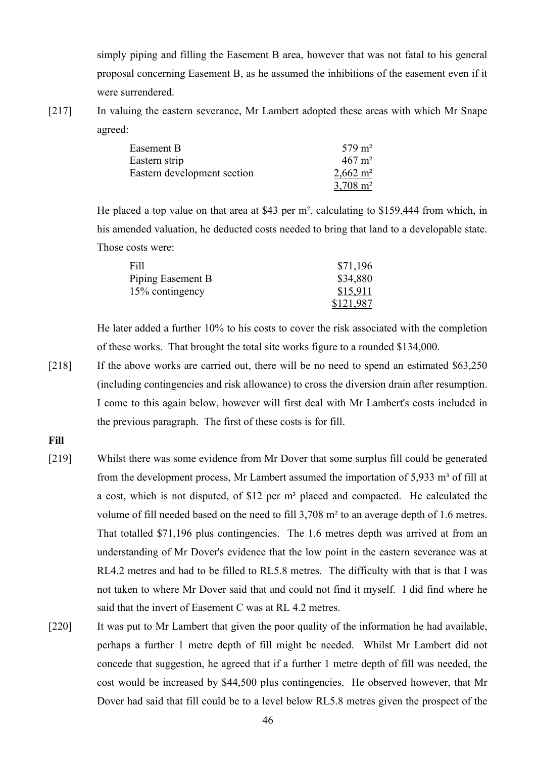simply piping and filling the Easement B area, however that was not fatal to his general proposal concerning Easement B, as he assumed the inhibitions of the easement even if it were surrendered.

[217] In valuing the eastern severance, Mr Lambert adopted these areas with which Mr Snape agreed:

| Easement B                  | $579 \text{ m}^2$   |
|-----------------------------|---------------------|
| Eastern strip               | $467 \text{ m}^2$   |
| Eastern development section | $2,662 \text{ m}^2$ |
|                             | $3,708 \text{ m}^2$ |

He placed a top value on that area at \$43 per m², calculating to \$159,444 from which, in his amended valuation, he deducted costs needed to bring that land to a developable state. Those costs were:

| Fill              | \$71,196  |
|-------------------|-----------|
| Piping Easement B | \$34,880  |
| 15% contingency   | \$15,911  |
|                   | \$121,987 |

He later added a further 10% to his costs to cover the risk associated with the completion of these works. That brought the total site works figure to a rounded \$134,000.

[218] If the above works are carried out, there will be no need to spend an estimated \$63,250 (including contingencies and risk allowance) to cross the diversion drain after resumption. I come to this again below, however will first deal with Mr Lambert's costs included in the previous paragraph. The first of these costs is for fill.

**Fill**

- [219] Whilst there was some evidence from Mr Dover that some surplus fill could be generated from the development process, Mr Lambert assumed the importation of  $5.933 \text{ m}^3$  of fill at a cost, which is not disputed, of \$12 per m<sup>3</sup> placed and compacted. He calculated the volume of fill needed based on the need to fill 3,708 m² to an average depth of 1.6 metres. That totalled \$71,196 plus contingencies. The 1.6 metres depth was arrived at from an understanding of Mr Dover's evidence that the low point in the eastern severance was at RL4.2 metres and had to be filled to RL5.8 metres. The difficulty with that is that I was not taken to where Mr Dover said that and could not find it myself. I did find where he said that the invert of Easement C was at RL 4.2 metres.
- [220] It was put to Mr Lambert that given the poor quality of the information he had available, perhaps a further 1 metre depth of fill might be needed. Whilst Mr Lambert did not concede that suggestion, he agreed that if a further 1 metre depth of fill was needed, the cost would be increased by \$44,500 plus contingencies. He observed however, that Mr Dover had said that fill could be to a level below RL5.8 metres given the prospect of the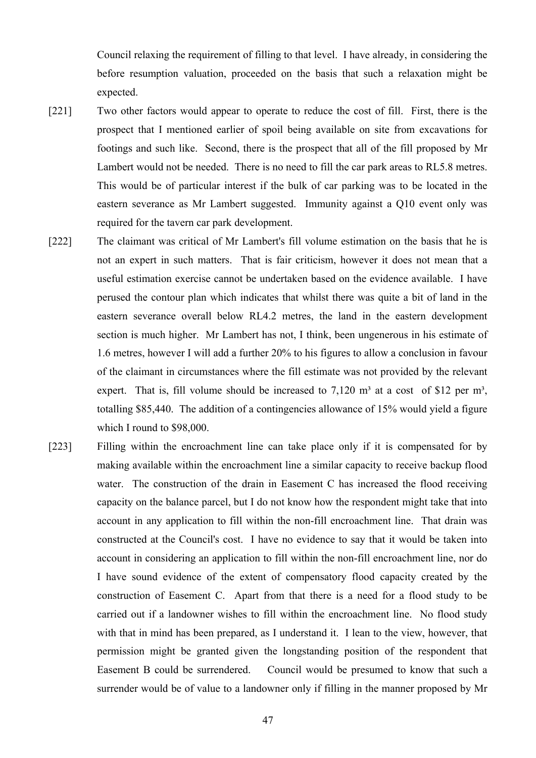Council relaxing the requirement of filling to that level. I have already, in considering the before resumption valuation, proceeded on the basis that such a relaxation might be expected.

- [221] Two other factors would appear to operate to reduce the cost of fill. First, there is the prospect that I mentioned earlier of spoil being available on site from excavations for footings and such like. Second, there is the prospect that all of the fill proposed by Mr Lambert would not be needed. There is no need to fill the car park areas to RL5.8 metres. This would be of particular interest if the bulk of car parking was to be located in the eastern severance as Mr Lambert suggested. Immunity against a Q10 event only was required for the tavern car park development.
- [222] The claimant was critical of Mr Lambert's fill volume estimation on the basis that he is not an expert in such matters. That is fair criticism, however it does not mean that a useful estimation exercise cannot be undertaken based on the evidence available. I have perused the contour plan which indicates that whilst there was quite a bit of land in the eastern severance overall below RL4.2 metres, the land in the eastern development section is much higher. Mr Lambert has not, I think, been ungenerous in his estimate of 1.6 metres, however I will add a further 20% to his figures to allow a conclusion in favour of the claimant in circumstances where the fill estimate was not provided by the relevant expert. That is, fill volume should be increased to  $7,120 \text{ m}^3$  at a cost of \$12 per m<sup>3</sup>, totalling \$85,440. The addition of a contingencies allowance of 15% would yield a figure which I round to \$98,000.
- [223] Filling within the encroachment line can take place only if it is compensated for by making available within the encroachment line a similar capacity to receive backup flood water. The construction of the drain in Easement C has increased the flood receiving capacity on the balance parcel, but I do not know how the respondent might take that into account in any application to fill within the non-fill encroachment line. That drain was constructed at the Council's cost. I have no evidence to say that it would be taken into account in considering an application to fill within the non-fill encroachment line, nor do I have sound evidence of the extent of compensatory flood capacity created by the construction of Easement C. Apart from that there is a need for a flood study to be carried out if a landowner wishes to fill within the encroachment line. No flood study with that in mind has been prepared, as I understand it. I lean to the view, however, that permission might be granted given the longstanding position of the respondent that Easement B could be surrendered. Council would be presumed to know that such a surrender would be of value to a landowner only if filling in the manner proposed by Mr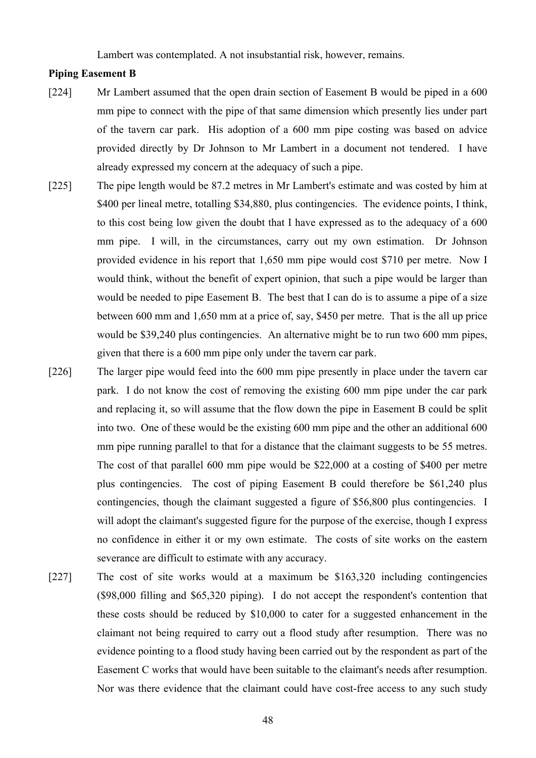Lambert was contemplated. A not insubstantial risk, however, remains.

# **Piping Easement B**

- [224] Mr Lambert assumed that the open drain section of Easement B would be piped in a 600 mm pipe to connect with the pipe of that same dimension which presently lies under part of the tavern car park. His adoption of a 600 mm pipe costing was based on advice provided directly by Dr Johnson to Mr Lambert in a document not tendered. I have already expressed my concern at the adequacy of such a pipe.
- [225] The pipe length would be 87.2 metres in Mr Lambert's estimate and was costed by him at \$400 per lineal metre, totalling \$34,880, plus contingencies. The evidence points, I think, to this cost being low given the doubt that I have expressed as to the adequacy of a 600 mm pipe. I will, in the circumstances, carry out my own estimation. Dr Johnson provided evidence in his report that 1,650 mm pipe would cost \$710 per metre. Now I would think, without the benefit of expert opinion, that such a pipe would be larger than would be needed to pipe Easement B. The best that I can do is to assume a pipe of a size between 600 mm and 1,650 mm at a price of, say, \$450 per metre. That is the all up price would be \$39,240 plus contingencies. An alternative might be to run two 600 mm pipes, given that there is a 600 mm pipe only under the tavern car park.
- [226] The larger pipe would feed into the 600 mm pipe presently in place under the tavern car park. I do not know the cost of removing the existing 600 mm pipe under the car park and replacing it, so will assume that the flow down the pipe in Easement B could be split into two. One of these would be the existing 600 mm pipe and the other an additional 600 mm pipe running parallel to that for a distance that the claimant suggests to be 55 metres. The cost of that parallel 600 mm pipe would be \$22,000 at a costing of \$400 per metre plus contingencies. The cost of piping Easement B could therefore be \$61,240 plus contingencies, though the claimant suggested a figure of \$56,800 plus contingencies. I will adopt the claimant's suggested figure for the purpose of the exercise, though I express no confidence in either it or my own estimate. The costs of site works on the eastern severance are difficult to estimate with any accuracy.
- [227] The cost of site works would at a maximum be \$163,320 including contingencies (\$98,000 filling and \$65,320 piping). I do not accept the respondent's contention that these costs should be reduced by \$10,000 to cater for a suggested enhancement in the claimant not being required to carry out a flood study after resumption. There was no evidence pointing to a flood study having been carried out by the respondent as part of the Easement C works that would have been suitable to the claimant's needs after resumption. Nor was there evidence that the claimant could have cost-free access to any such study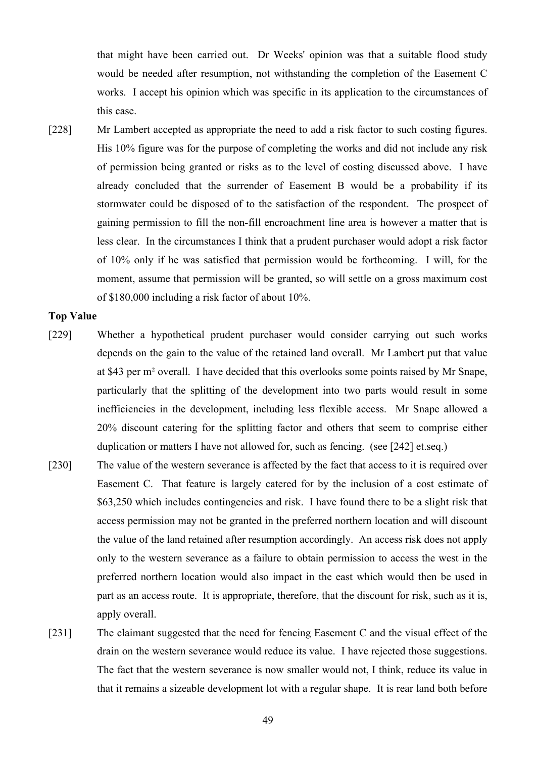that might have been carried out. Dr Weeks' opinion was that a suitable flood study would be needed after resumption, not withstanding the completion of the Easement C works. I accept his opinion which was specific in its application to the circumstances of this case.

[228] Mr Lambert accepted as appropriate the need to add a risk factor to such costing figures. His 10% figure was for the purpose of completing the works and did not include any risk of permission being granted or risks as to the level of costing discussed above. I have already concluded that the surrender of Easement B would be a probability if its stormwater could be disposed of to the satisfaction of the respondent. The prospect of gaining permission to fill the non-fill encroachment line area is however a matter that is less clear. In the circumstances I think that a prudent purchaser would adopt a risk factor of 10% only if he was satisfied that permission would be forthcoming. I will, for the moment, assume that permission will be granted, so will settle on a gross maximum cost of \$180,000 including a risk factor of about 10%.

## **Top Value**

- [229] Whether a hypothetical prudent purchaser would consider carrying out such works depends on the gain to the value of the retained land overall. Mr Lambert put that value at \$43 per m² overall. I have decided that this overlooks some points raised by Mr Snape, particularly that the splitting of the development into two parts would result in some inefficiencies in the development, including less flexible access. Mr Snape allowed a 20% discount catering for the splitting factor and others that seem to comprise either duplication or matters I have not allowed for, such as fencing. (see [242] et.seq.)
- [230] The value of the western severance is affected by the fact that access to it is required over Easement C. That feature is largely catered for by the inclusion of a cost estimate of \$63,250 which includes contingencies and risk. I have found there to be a slight risk that access permission may not be granted in the preferred northern location and will discount the value of the land retained after resumption accordingly. An access risk does not apply only to the western severance as a failure to obtain permission to access the west in the preferred northern location would also impact in the east which would then be used in part as an access route. It is appropriate, therefore, that the discount for risk, such as it is, apply overall.
- [231] The claimant suggested that the need for fencing Easement C and the visual effect of the drain on the western severance would reduce its value. I have rejected those suggestions. The fact that the western severance is now smaller would not, I think, reduce its value in that it remains a sizeable development lot with a regular shape. It is rear land both before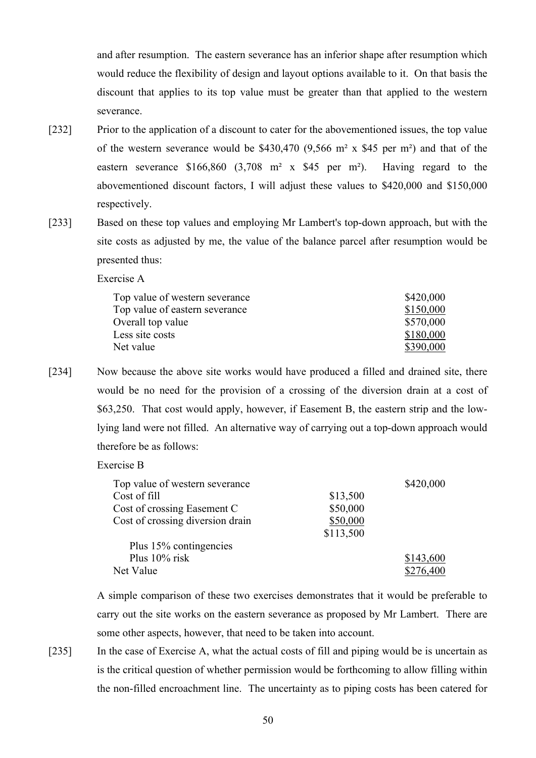and after resumption. The eastern severance has an inferior shape after resumption which would reduce the flexibility of design and layout options available to it. On that basis the discount that applies to its top value must be greater than that applied to the western severance.

- [232] Prior to the application of a discount to cater for the abovementioned issues, the top value of the western severance would be  $$430,470$  (9,566 m<sup>2</sup> x \$45 per m<sup>2</sup>) and that of the eastern severance \$166,860 (3,708 m² x \$45 per m²). Having regard to the abovementioned discount factors, I will adjust these values to \$420,000 and \$150,000 respectively.
- [233] Based on these top values and employing Mr Lambert's top-down approach, but with the site costs as adjusted by me, the value of the balance parcel after resumption would be presented thus:

Exercise A

| Top value of western severance | \$420,000 |
|--------------------------------|-----------|
| Top value of eastern severance | \$150,000 |
| Overall top value              | \$570,000 |
| Less site costs                | \$180,000 |
| Net value                      | \$390,000 |

[234] Now because the above site works would have produced a filled and drained site, there would be no need for the provision of a crossing of the diversion drain at a cost of \$63,250. That cost would apply, however, if Easement B, the eastern strip and the lowlying land were not filled. An alternative way of carrying out a top-down approach would therefore be as follows:

Exercise B

| Top value of western severance   |           | \$420,000 |
|----------------------------------|-----------|-----------|
| Cost of fill                     | \$13,500  |           |
| Cost of crossing Easement C      | \$50,000  |           |
| Cost of crossing diversion drain | \$50,000  |           |
|                                  | \$113,500 |           |
| Plus 15% contingencies           |           |           |
| Plus $10\%$ risk                 |           | \$143,600 |
| Net Value                        |           | \$276,400 |

A simple comparison of these two exercises demonstrates that it would be preferable to carry out the site works on the eastern severance as proposed by Mr Lambert. There are some other aspects, however, that need to be taken into account.

[235] In the case of Exercise A, what the actual costs of fill and piping would be is uncertain as is the critical question of whether permission would be forthcoming to allow filling within the non-filled encroachment line. The uncertainty as to piping costs has been catered for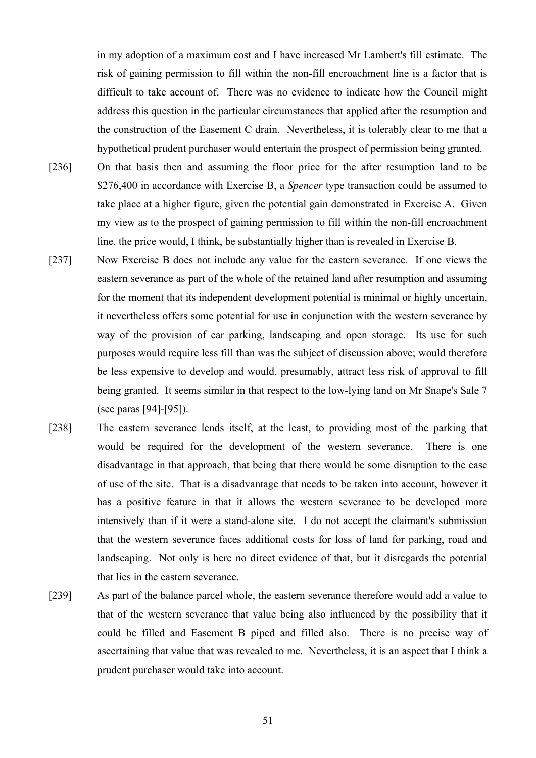in my adoption of a maximum cost and I have increased Mr Lambert's fill estimate. The risk of gaining permission to fill within the non-fill encroachment line is a factor that is difficult to take account of. There was no evidence to indicate how the Council might address this question in the particular circumstances that applied after the resumption and the construction of the Easement C drain. Nevertheless, it is tolerably clear to me that a hypothetical prudent purchaser would entertain the prospect of permission being granted.

- [236] On that basis then and assuming the floor price for the after resumption land to be \$276,400 in accordance with Exercise B, a *Spencer* type transaction could be assumed to take place at a higher figure, given the potential gain demonstrated in Exercise A. Given my view as to the prospect of gaining permission to fill within the non-fill encroachment line, the price would, I think, be substantially higher than is revealed in Exercise B.
- [237] Now Exercise B does not include any value for the eastern severance. If one views the eastern severance as part of the whole of the retained land after resumption and assuming for the moment that its independent development potential is minimal or highly uncertain, it nevertheless offers some potential for use in conjunction with the western severance by way of the provision of car parking, landscaping and open storage. Its use for such purposes would require less fill than was the subject of discussion above; would therefore be less expensive to develop and would, presumably, attract less risk of approval to fill being granted. It seems similar in that respect to the low-lying land on Mr Snape's Sale 7 (see paras [94]-[95]).
- [238] The eastern severance lends itself, at the least, to providing most of the parking that would be required for the development of the western severance. There is one disadvantage in that approach, that being that there would be some disruption to the ease of use of the site. That is a disadvantage that needs to be taken into account, however it has a positive feature in that it allows the western severance to be developed more intensively than if it were a stand-alone site. I do not accept the claimant's submission that the western severance faces additional costs for loss of land for parking, road and landscaping. Not only is here no direct evidence of that, but it disregards the potential that lies in the eastern severance.
- [239] As part of the balance parcel whole, the eastern severance therefore would add a value to that of the western severance that value being also influenced by the possibility that it could be filled and Easement B piped and filled also. There is no precise way of ascertaining that value that was revealed to me. Nevertheless, it is an aspect that I think a prudent purchaser would take into account.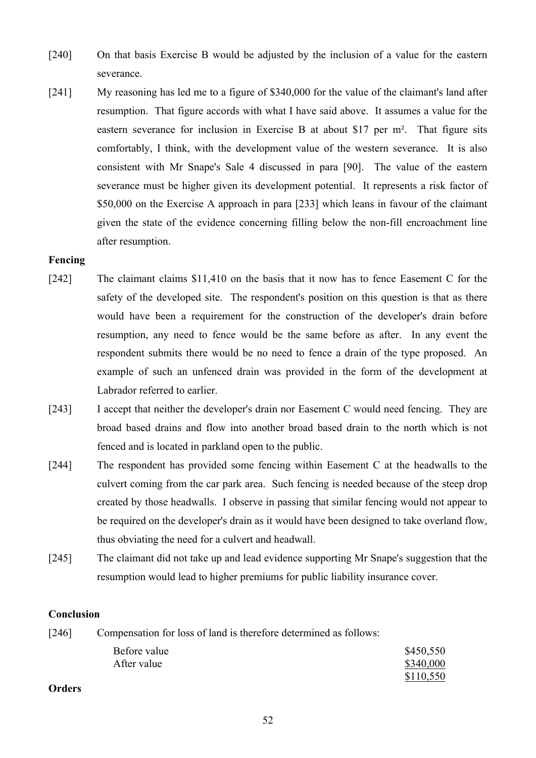- [240] On that basis Exercise B would be adjusted by the inclusion of a value for the eastern severance.
- [241] My reasoning has led me to a figure of \$340,000 for the value of the claimant's land after resumption. That figure accords with what I have said above. It assumes a value for the eastern severance for inclusion in Exercise B at about \$17 per m². That figure sits comfortably, I think, with the development value of the western severance. It is also consistent with Mr Snape's Sale 4 discussed in para [90]. The value of the eastern severance must be higher given its development potential. It represents a risk factor of \$50,000 on the Exercise A approach in para [233] which leans in favour of the claimant given the state of the evidence concerning filling below the non-fill encroachment line after resumption.

# **Fencing**

- [242] The claimant claims \$11,410 on the basis that it now has to fence Easement C for the safety of the developed site. The respondent's position on this question is that as there would have been a requirement for the construction of the developer's drain before resumption, any need to fence would be the same before as after. In any event the respondent submits there would be no need to fence a drain of the type proposed. An example of such an unfenced drain was provided in the form of the development at Labrador referred to earlier.
- [243] I accept that neither the developer's drain nor Easement C would need fencing. They are broad based drains and flow into another broad based drain to the north which is not fenced and is located in parkland open to the public.
- [244] The respondent has provided some fencing within Easement C at the headwalls to the culvert coming from the car park area. Such fencing is needed because of the steep drop created by those headwalls. I observe in passing that similar fencing would not appear to be required on the developer's drain as it would have been designed to take overland flow, thus obviating the need for a culvert and headwall.
- [245] The claimant did not take up and lead evidence supporting Mr Snape's suggestion that the resumption would lead to higher premiums for public liability insurance cover.

# **Conclusion**

[246] Compensation for loss of land is therefore determined as follows: Before value \$450,550 After value \$340,000 \$110,550

# **Orders**